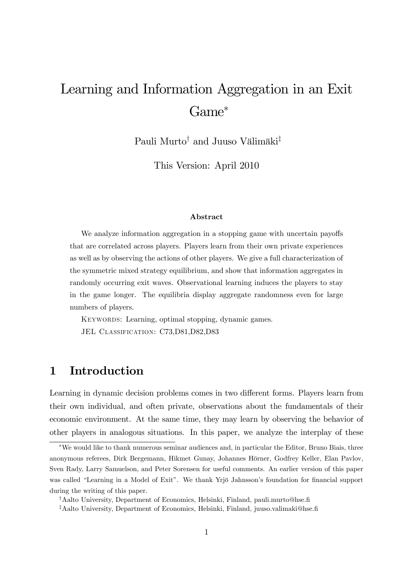# Learning and Information Aggregation in an Exit Game

Pauli Murto<sup>†</sup> and Juuso Välimäki<sup>‡</sup>

This Version: April 2010

#### Abstract

We analyze information aggregation in a stopping game with uncertain payoffs that are correlated across players. Players learn from their own private experiences as well as by observing the actions of other players. We give a full characterization of the symmetric mixed strategy equilibrium, and show that information aggregates in randomly occurring exit waves. Observational learning induces the players to stay in the game longer. The equilibria display aggregate randomness even for large numbers of players.

Keywords: Learning, optimal stopping, dynamic games. JEL CLASSIFICATION: C73,D81,D82,D83

# 1 Introduction

Learning in dynamic decision problems comes in two different forms. Players learn from their own individual, and often private, observations about the fundamentals of their economic environment. At the same time, they may learn by observing the behavior of other players in analogous situations. In this paper, we analyze the interplay of these

We would like to thank numerous seminar audiences and, in particular the Editor, Bruno Biais, three anonymous referees, Dirk Bergemann, Hikmet Gunay, Johannes Hörner, Godfrey Keller, Elan Pavlov, Sven Rady, Larry Samuelson, and Peter Sorensen for useful comments. An earlier version of this paper was called "Learning in a Model of Exit". We thank Yrjö Jahnsson's foundation for financial support during the writing of this paper.

<sup>&</sup>lt;sup>†</sup>Aalto University, Department of Economics, Helsinki, Finland, pauli.murto@hse.fi

<sup>&</sup>lt;sup>‡</sup>Aalto University, Department of Economics, Helsinki, Finland, juuso.valimaki@hse.fi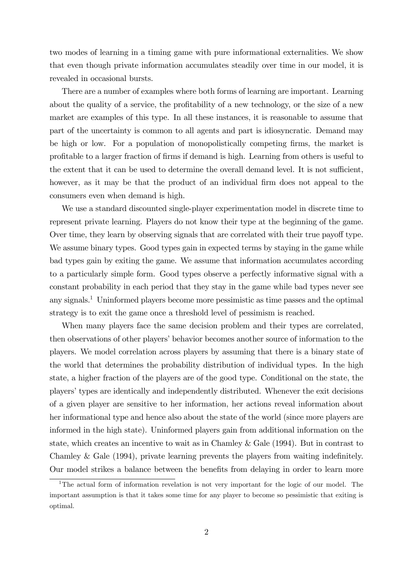two modes of learning in a timing game with pure informational externalities. We show that even though private information accumulates steadily over time in our model, it is revealed in occasional bursts.

There are a number of examples where both forms of learning are important. Learning about the quality of a service, the profitability of a new technology, or the size of a new market are examples of this type. In all these instances, it is reasonable to assume that part of the uncertainty is common to all agents and part is idiosyncratic. Demand may be high or low. For a population of monopolistically competing firms, the market is proÖtable to a larger fraction of Örms if demand is high. Learning from others is useful to the extent that it can be used to determine the overall demand level. It is not sufficient, however, as it may be that the product of an individual firm does not appeal to the consumers even when demand is high.

We use a standard discounted single-player experimentation model in discrete time to represent private learning. Players do not know their type at the beginning of the game. Over time, they learn by observing signals that are correlated with their true payoff type. We assume binary types. Good types gain in expected terms by staying in the game while bad types gain by exiting the game. We assume that information accumulates according to a particularly simple form. Good types observe a perfectly informative signal with a constant probability in each period that they stay in the game while bad types never see any signals.<sup>1</sup> Uninformed players become more pessimistic as time passes and the optimal strategy is to exit the game once a threshold level of pessimism is reached.

When many players face the same decision problem and their types are correlated, then observations of other players' behavior becomes another source of information to the players. We model correlation across players by assuming that there is a binary state of the world that determines the probability distribution of individual types. In the high state, a higher fraction of the players are of the good type. Conditional on the state, the players' types are identically and independently distributed. Whenever the exit decisions of a given player are sensitive to her information, her actions reveal information about her informational type and hence also about the state of the world (since more players are informed in the high state). Uninformed players gain from additional information on the state, which creates an incentive to wait as in Chamley & Gale (1994). But in contrast to Chamley  $&$  Gale (1994), private learning prevents the players from waiting indefinitely. Our model strikes a balance between the benefits from delaying in order to learn more

<sup>&</sup>lt;sup>1</sup>The actual form of information revelation is not very important for the logic of our model. The important assumption is that it takes some time for any player to become so pessimistic that exiting is optimal.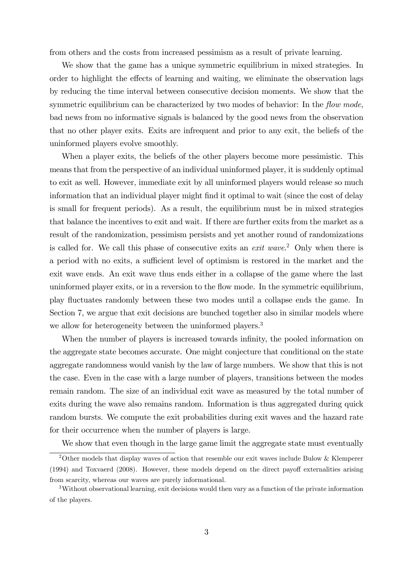from others and the costs from increased pessimism as a result of private learning.

We show that the game has a unique symmetric equilibrium in mixed strategies. In order to highlight the effects of learning and waiting, we eliminate the observation lags by reducing the time interval between consecutive decision moments. We show that the symmetric equilibrium can be characterized by two modes of behavior: In the *flow mode*, bad news from no informative signals is balanced by the good news from the observation that no other player exits. Exits are infrequent and prior to any exit, the beliefs of the uninformed players evolve smoothly.

When a player exits, the beliefs of the other players become more pessimistic. This means that from the perspective of an individual uninformed player, it is suddenly optimal to exit as well. However, immediate exit by all uninformed players would release so much information that an individual player might find it optimal to wait (since the cost of delay is small for frequent periods). As a result, the equilibrium must be in mixed strategies that balance the incentives to exit and wait. If there are further exits from the market as a result of the randomization, pessimism persists and yet another round of randomizations is called for. We call this phase of consecutive exits an exit wave. <sup>2</sup> Only when there is a period with no exits, a sufficient level of optimism is restored in the market and the exit wave ends. An exit wave thus ends either in a collapse of the game where the last uninformed player exits, or in a reversion to the flow mode. In the symmetric equilibrium, play áuctuates randomly between these two modes until a collapse ends the game. In Section 7, we argue that exit decisions are bunched together also in similar models where we allow for heterogeneity between the uninformed players.<sup>3</sup>

When the number of players is increased towards infinity, the pooled information on the aggregate state becomes accurate. One might conjecture that conditional on the state aggregate randomness would vanish by the law of large numbers. We show that this is not the case. Even in the case with a large number of players, transitions between the modes remain random. The size of an individual exit wave as measured by the total number of exits during the wave also remains random. Information is thus aggregated during quick random bursts. We compute the exit probabilities during exit waves and the hazard rate for their occurrence when the number of players is large.

We show that even though in the large game limit the aggregate state must eventually

<sup>&</sup>lt;sup>2</sup>Other models that display waves of action that resemble our exit waves include Bulow & Klemperer  $(1994)$  and Toxvaerd  $(2008)$ . However, these models depend on the direct payoff externalities arising from scarcity, whereas our waves are purely informational.

<sup>3</sup>Without observational learning, exit decisions would then vary as a function of the private information of the players.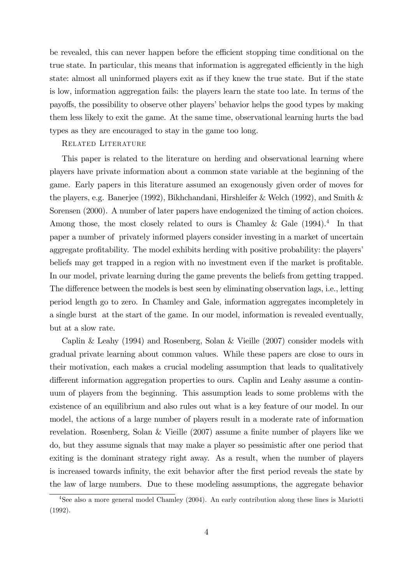be revealed, this can never happen before the efficient stopping time conditional on the true state. In particular, this means that information is aggregated efficiently in the high state: almost all uninformed players exit as if they knew the true state. But if the state is low, information aggregation fails: the players learn the state too late. In terms of the payoffs, the possibility to observe other players' behavior helps the good types by making them less likely to exit the game. At the same time, observational learning hurts the bad types as they are encouraged to stay in the game too long.

#### Related Literature

This paper is related to the literature on herding and observational learning where players have private information about a common state variable at the beginning of the game. Early papers in this literature assumed an exogenously given order of moves for the players, e.g. Banerjee (1992), Bikhchandani, Hirshleifer & Welch (1992), and Smith & Sorensen (2000). A number of later papers have endogenized the timing of action choices. Among those, the most closely related to ours is Chamley & Gale  $(1994).<sup>4</sup>$  In that paper a number of privately informed players consider investing in a market of uncertain aggregate profitability. The model exhibits herding with positive probability: the players' beliefs may get trapped in a region with no investment even if the market is profitable. In our model, private learning during the game prevents the beliefs from getting trapped. The difference between the models is best seen by eliminating observation lags, i.e., letting period length go to zero. In Chamley and Gale, information aggregates incompletely in a single burst at the start of the game. In our model, information is revealed eventually, but at a slow rate.

Caplin & Leahy (1994) and Rosenberg, Solan & Vieille (2007) consider models with gradual private learning about common values. While these papers are close to ours in their motivation, each makes a crucial modeling assumption that leads to qualitatively different information aggregation properties to ours. Caplin and Leahy assume a continuum of players from the beginning. This assumption leads to some problems with the existence of an equilibrium and also rules out what is a key feature of our model. In our model, the actions of a large number of players result in a moderate rate of information revelation. Rosenberg, Solan & Vieille  $(2007)$  assume a finite number of players like we do, but they assume signals that may make a player so pessimistic after one period that exiting is the dominant strategy right away. As a result, when the number of players is increased towards infinity, the exit behavior after the first period reveals the state by the law of large numbers. Due to these modeling assumptions, the aggregate behavior

<sup>&</sup>lt;sup>4</sup>See also a more general model Chamley (2004). An early contribution along these lines is Mariotti (1992).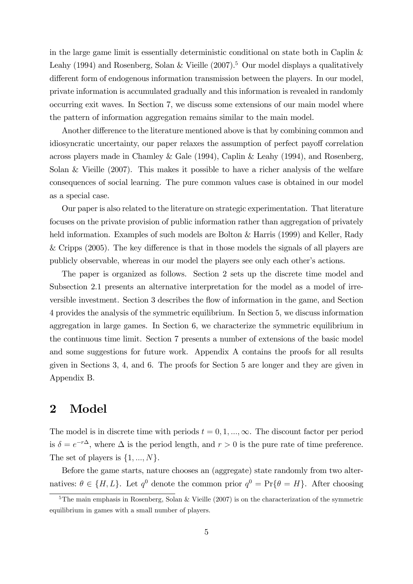in the large game limit is essentially deterministic conditional on state both in Caplin & Leahy (1994) and Rosenberg, Solan & Vieille  $(2007)^5$  Our model displays a qualitatively different form of endogenous information transmission between the players. In our model, private information is accumulated gradually and this information is revealed in randomly occurring exit waves. In Section 7, we discuss some extensions of our main model where the pattern of information aggregation remains similar to the main model.

Another difference to the literature mentioned above is that by combining common and idiosyncratic uncertainty, our paper relaxes the assumption of perfect payoff correlation across players made in Chamley & Gale (1994), Caplin & Leahy (1994), and Rosenberg, Solan & Vieille (2007). This makes it possible to have a richer analysis of the welfare consequences of social learning. The pure common values case is obtained in our model as a special case.

Our paper is also related to the literature on strategic experimentation. That literature focuses on the private provision of public information rather than aggregation of privately held information. Examples of such models are Bolton & Harris (1999) and Keller, Rady & Cripps  $(2005)$ . The key difference is that in those models the signals of all players are publicly observable, whereas in our model the players see only each other's actions.

The paper is organized as follows. Section 2 sets up the discrete time model and Subsection 2.1 presents an alternative interpretation for the model as a model of irreversible investment. Section 3 describes the áow of information in the game, and Section 4 provides the analysis of the symmetric equilibrium. In Section 5, we discuss information aggregation in large games. In Section 6, we characterize the symmetric equilibrium in the continuous time limit. Section 7 presents a number of extensions of the basic model and some suggestions for future work. Appendix A contains the proofs for all results given in Sections 3, 4, and 6. The proofs for Section 5 are longer and they are given in Appendix B.

### 2 Model

The model is in discrete time with periods  $t = 0, 1, ..., \infty$ . The discount factor per period is  $\delta = e^{-r\Delta}$ , where  $\Delta$  is the period length, and  $r > 0$  is the pure rate of time preference. The set of players is  $\{1, ..., N\}$ .

Before the game starts, nature chooses an (aggregate) state randomly from two alternatives:  $\theta \in \{H, L\}$ . Let  $q^0$  denote the common prior  $q^0 = Pr\{\theta = H\}$ . After choosing

<sup>&</sup>lt;sup>5</sup>The main emphasis in Rosenberg, Solan & Vieille  $(2007)$  is on the characterization of the symmetric equilibrium in games with a small number of players.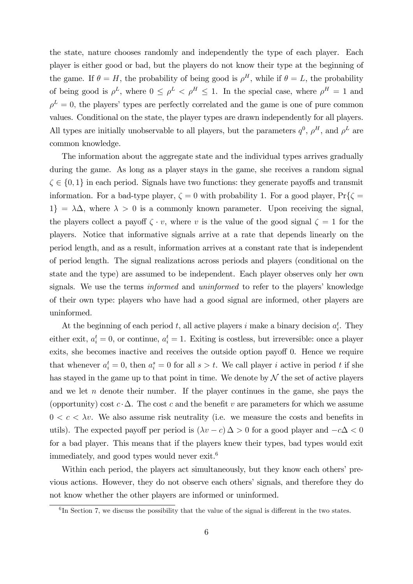the state, nature chooses randomly and independently the type of each player. Each player is either good or bad, but the players do not know their type at the beginning of the game. If  $\theta = H$ , the probability of being good is  $\rho^H$ , while if  $\theta = L$ , the probability of being good is  $\rho^L$ , where  $0 \leq \rho^L < \rho^H \leq 1$ . In the special case, where  $\rho^H = 1$  and  $\rho^L = 0$ , the players' types are perfectly correlated and the game is one of pure common values. Conditional on the state, the player types are drawn independently for all players. All types are initially unobservable to all players, but the parameters  $q^0$ ,  $\rho^H$ , and  $\rho^L$  are common knowledge.

The information about the aggregate state and the individual types arrives gradually during the game. As long as a player stays in the game, she receives a random signal  $\zeta \in \{0, 1\}$  in each period. Signals have two functions: they generate payoffs and transmit information. For a bad-type player,  $\zeta = 0$  with probability 1. For a good player,  $Pr\{\zeta =$  $1\} = \lambda \Delta$ , where  $\lambda > 0$  is a commonly known parameter. Upon receiving the signal, the players collect a payoff  $\zeta \cdot v$ , where v is the value of the good signal  $\zeta = 1$  for the players. Notice that informative signals arrive at a rate that depends linearly on the period length, and as a result, information arrives at a constant rate that is independent of period length. The signal realizations across periods and players (conditional on the state and the type) are assumed to be independent. Each player observes only her own signals. We use the terms *informed* and *uninformed* to refer to the players' knowledge of their own type: players who have had a good signal are informed, other players are uninformed.

At the beginning of each period t, all active players i make a binary decision  $a_i^t$ . They either exit,  $a_i^t = 0$ , or continue,  $a_i^t = 1$ . Exiting is costless, but irreversible: once a player exits, she becomes inactive and receives the outside option payoff 0. Hence we require that whenever  $a_i^t = 0$ , then  $a_i^s = 0$  for all  $s > t$ . We call player i active in period t if she has stayed in the game up to that point in time. We denote by  $\mathcal N$  the set of active players and we let  $n$  denote their number. If the player continues in the game, she pays the (opportunity) cost  $c \cdot \Delta$ . The cost c and the benefit v are parameters for which we assume  $0 < c < \lambda v$ . We also assume risk neutrality (i.e. we measure the costs and benefits in utils). The expected payoff per period is  $(\lambda v - c) \Delta > 0$  for a good player and  $-c\Delta < 0$ for a bad player. This means that if the players knew their types, bad types would exit immediately, and good types would never  $exit<sup>6</sup>$ 

Within each period, the players act simultaneously, but they know each others' previous actions. However, they do not observe each others' signals, and therefore they do not know whether the other players are informed or uninformed.

 ${}^{6}$ In Section 7, we discuss the possibility that the value of the signal is different in the two states.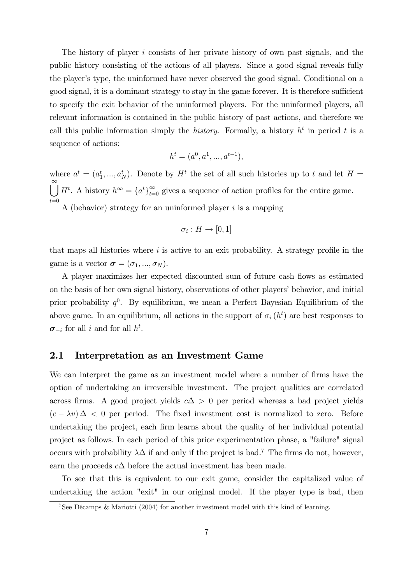The history of player i consists of her private history of own past signals, and the public history consisting of the actions of all players. Since a good signal reveals fully the player's type, the uninformed have never observed the good signal. Conditional on a good signal, it is a dominant strategy to stay in the game forever. It is therefore sufficient to specify the exit behavior of the uninformed players. For the uninformed players, all relevant information is contained in the public history of past actions, and therefore we call this public information simply the *history*. Formally, a history  $h^t$  in period t is a sequence of actions:

$$
h^{t} = (a^{0}, a^{1}, ..., a^{t-1}),
$$

where  $a^t = (a_1^t, ..., a_N^t)$ . Denote by  $H^t$  the set of all such histories up to t and let  $H =$  $\bigcup^{\infty} H^t$ . A history  $h^{\infty} = \{a^t\}_{t=0}^{\infty}$  gives a sequence of action profiles for the entire game.  $t=0$ A (behavior) strategy for an uninformed player  $i$  is a mapping

$$
\sigma_i: H \to [0,1]
$$

that maps all histories where  $i$  is active to an exit probability. A strategy profile in the game is a vector  $\boldsymbol{\sigma} = (\sigma_1, ..., \sigma_N)$ .

A player maximizes her expected discounted sum of future cash flows as estimated on the basis of her own signal history, observations of other players' behavior, and initial prior probability  $q^0$ . By equilibrium, we mean a Perfect Bayesian Equilibrium of the above game. In an equilibrium, all actions in the support of  $\sigma_i(h^t)$  are best responses to  $\sigma_{-i}$  for all i and for all  $h^t$ .

#### 2.1 Interpretation as an Investment Game

We can interpret the game as an investment model where a number of firms have the option of undertaking an irreversible investment. The project qualities are correlated across firms. A good project yields  $c\Delta > 0$  per period whereas a bad project yields  $(c - \lambda v)$   $\Delta$  < 0 per period. The fixed investment cost is normalized to zero. Before undertaking the project, each firm learns about the quality of her individual potential project as follows. In each period of this prior experimentation phase, a "failure" signal occurs with probability  $\lambda\Delta$  if and only if the project is bad.<sup>7</sup> The firms do not, however, earn the proceeds  $c\Delta$  before the actual investment has been made.

To see that this is equivalent to our exit game, consider the capitalized value of undertaking the action "exit" in our original model. If the player type is bad, then

<sup>&</sup>lt;sup>7</sup>See Décamps & Mariotti (2004) for another investment model with this kind of learning.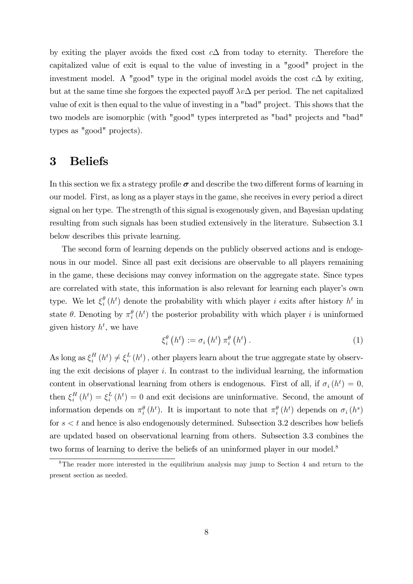by exiting the player avoids the fixed cost  $c\Delta$  from today to eternity. Therefore the capitalized value of exit is equal to the value of investing in a "good" project in the investment model. A "good" type in the original model avoids the cost  $c\Delta$  by exiting, but at the same time she forgoes the expected payoff  $\lambda v \Delta$  per period. The net capitalized value of exit is then equal to the value of investing in a "bad" project. This shows that the two models are isomorphic (with "good" types interpreted as "bad" projects and "bad" types as "good" projects).

### 3 Beliefs

In this section we fix a strategy profile  $\sigma$  and describe the two different forms of learning in our model. First, as long as a player stays in the game, she receives in every period a direct signal on her type. The strength of this signal is exogenously given, and Bayesian updating resulting from such signals has been studied extensively in the literature. Subsection 3.1 below describes this private learning.

The second form of learning depends on the publicly observed actions and is endogenous in our model. Since all past exit decisions are observable to all players remaining in the game, these decisions may convey information on the aggregate state. Since types are correlated with state, this information is also relevant for learning each player's own type. We let  $\xi_i^{\theta}$  $\frac{\theta}{i}(h^t)$  denote the probability with which player i exits after history  $h^t$  in state  $\theta$ . Denoting by  $\pi_i^{\theta}(h^t)$  the posterior probability with which player i is uninformed given history  $h^t$ , we have

$$
\xi_i^{\theta}\left(h^t\right) := \sigma_i\left(h^t\right)\pi_i^{\theta}\left(h^t\right). \tag{1}
$$

As long as  $\xi_i^H$  $\binom{H}{i}(h^t) \neq \xi_i^L$  $\frac{L}{i}(h^t)$ , other players learn about the true aggregate state by observing the exit decisions of player  $i$ . In contrast to the individual learning, the information content in observational learning from others is endogenous. First of all, if  $\sigma_i(h^t) = 0$ ,  $\text{then }\xi_i^H$  $i<sup>H</sup>(h<sup>t</sup>) = \xi<sup>L</sup><sub>i</sub>$  $\frac{L}{i}(h^t) = 0$  and exit decisions are uninformative. Second, the amount of information depends on  $\pi_i^{\theta}(h^t)$ . It is important to note that  $\pi_i^{\theta}(h^t)$  depends on  $\sigma_i(h^s)$ for  $s < t$  and hence is also endogenously determined. Subsection 3.2 describes how beliefs are updated based on observational learning from others. Subsection 3.3 combines the two forms of learning to derive the beliefs of an uninformed player in our model.<sup>8</sup>

<sup>&</sup>lt;sup>8</sup>The reader more interested in the equilibrium analysis may jump to Section 4 and return to the present section as needed.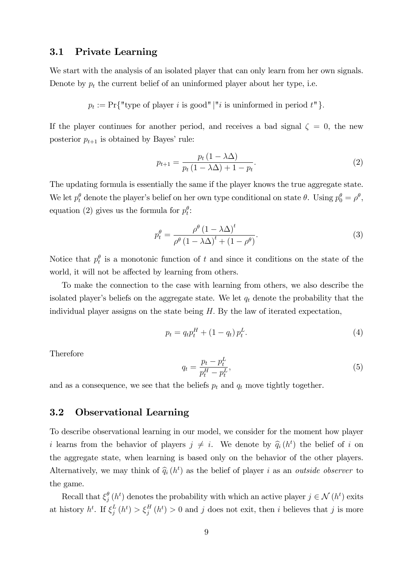### 3.1 Private Learning

We start with the analysis of an isolated player that can only learn from her own signals. Denote by  $p_t$  the current belief of an uninformed player about her type, i.e.

$$
p_t := \Pr\{\text{"type of player } i \text{ is good"} \mid \text{"i is uninformed in period } t\text{" }}.
$$

If the player continues for another period, and receives a bad signal  $\zeta = 0$ , the new posterior  $p_{t+1}$  is obtained by Bayes' rule:

$$
p_{t+1} = \frac{p_t (1 - \lambda \Delta)}{p_t (1 - \lambda \Delta) + 1 - p_t}.
$$
\n
$$
(2)
$$

The updating formula is essentially the same if the player knows the true aggregate state. We let  $p_t^{\theta}$  denote the player's belief on her own type conditional on state  $\theta$ . Using  $p_0^{\theta} = \rho^{\theta}$ , equation (2) gives us the formula for  $p_t^{\theta}$ :

$$
p_t^{\theta} = \frac{\rho^{\theta} (1 - \lambda \Delta)^t}{\rho^{\theta} (1 - \lambda \Delta)^t + (1 - \rho^{\theta})}.
$$
\n(3)

Notice that  $p_t^{\theta}$  is a monotonic function of t and since it conditions on the state of the world, it will not be affected by learning from others.

To make the connection to the case with learning from others, we also describe the isolated player's beliefs on the aggregate state. We let  $q_t$  denote the probability that the individual player assigns on the state being  $H$ . By the law of iterated expectation,

$$
p_t = q_t p_t^H + (1 - q_t) p_t^L. \tag{4}
$$

Therefore

$$
q_t = \frac{p_t - p_t^L}{p_t^H - p_t^L},\tag{5}
$$

and as a consequence, we see that the beliefs  $p_t$  and  $q_t$  move tightly together.

#### 3.2 Observational Learning

To describe observational learning in our model, we consider for the moment how player i learns from the behavior of players  $j \neq i$ . We denote by  $\hat{q}_i(h^t)$  the belief of i on the aggregate state, when learning is based only on the behavior of the other players. Alternatively, we may think of  $\hat{q}_i(h^t)$  as the belief of player i as an *outside observer* to the game.

Recall that  $\xi_i^{\theta}$  $_j^{\theta}(h^t)$  denotes the probability with which an active player  $j \in \mathcal{N}(h^t)$  exits at history  $h^t$ . If  $\xi_i^L$  $_j^L(h^t) > \xi_j^H(h^t) > 0$  and j does not exit, then i believes that j is more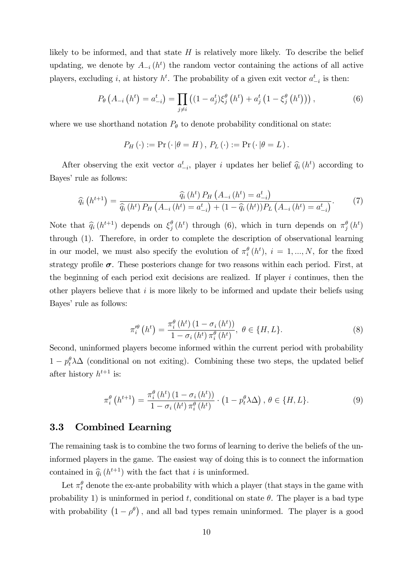likely to be informed, and that state  $H$  is relatively more likely. To describe the belief updating, we denote by  $A_{-i}(h^t)$  the random vector containing the actions of all active players, excluding *i*, at history  $h^t$ . The probability of a given exit vector  $a_{-i}^t$  is then:

$$
P_{\theta}\left(A_{-i}\left(h^{t}\right)=a_{-i}^{t}\right)=\prod_{j\neq i}\left((1-a_{j}^{t})\xi_{j}^{\theta}\left(h^{t}\right)+a_{j}^{t}\left(1-\xi_{j}^{\theta}\left(h^{t}\right)\right)\right),\tag{6}
$$

where we use shorthand notation  $P_{\theta}$  to denote probability conditional on state:

$$
P_H(\cdot) := \Pr(\cdot | \theta = H), P_L(\cdot) := \Pr(\cdot | \theta = L).
$$

After observing the exit vector  $a_{-i}^t$ , player i updates her belief  $\hat{q}_i(h^t)$  according to Bayes' rule as follows:

$$
\widehat{q}_{i}\left(h^{t+1}\right) = \frac{\widehat{q}_{i}\left(h^{t}\right)P_{H}\left(A_{-i}\left(h^{t}\right) = a_{-i}^{t}\right)}{\widehat{q}_{i}\left(h^{t}\right)P_{H}\left(A_{-i}\left(h^{t}\right) = a_{-i}^{t}\right) + (1 - \widehat{q}_{i}\left(h^{t}\right))P_{L}\left(A_{-i}\left(h^{t}\right) = a_{-i}^{t}\right)}.
$$
\n(7)

Note that  $\hat{q}_i(h^{t+1})$  depends on  $\xi_j^{\theta}$  $_j^\theta(h^t)$  through (6), which in turn depends on  $\pi_j^\theta(h^t)$ through (1). Therefore, in order to complete the description of observational learning in our model, we must also specify the evolution of  $\pi_i^{\theta}(h^t)$ ,  $i = 1, ..., N$ , for the fixed strategy profile  $\sigma$ . These posteriors change for two reasons within each period. First, at the beginning of each period exit decisions are realized. If player  $i$  continues, then the other players believe that  $i$  is more likely to be informed and update their beliefs using Bayes' rule as follows:

$$
\pi_i^{\theta}\left(h^t\right) = \frac{\pi_i^{\theta}\left(h^t\right)\left(1 - \sigma_i\left(h^t\right)\right)}{1 - \sigma_i\left(h^t\right)\pi_i^{\theta}\left(h^t\right)}, \ \theta \in \{H, L\}.\tag{8}
$$

Second, uninformed players become informed within the current period with probability  $1 - p_t^{\theta} \lambda \Delta$  (conditional on not exiting). Combining these two steps, the updated belief after history  $h^{t+1}$  is:

$$
\pi_i^{\theta}\left(h^{t+1}\right) = \frac{\pi_i^{\theta}\left(h^t\right)\left(1 - \sigma_i\left(h^t\right)\right)}{1 - \sigma_i\left(h^t\right)\pi_i^{\theta}\left(h^t\right)} \cdot \left(1 - p_t^{\theta}\lambda\Delta\right), \ \theta \in \{H, L\}.\tag{9}
$$

#### 3.3 Combined Learning

The remaining task is to combine the two forms of learning to derive the beliefs of the uninformed players in the game. The easiest way of doing this is to connect the information contained in  $\hat{q}_i(h^{t+1})$  with the fact that i is uninformed.

Let  $\pi_t^{\theta}$  denote the ex-ante probability with which a player (that stays in the game with probability 1) is uninformed in period t, conditional on state  $\theta$ . The player is a bad type with probability  $(1 - \rho^{\theta})$ , and all bad types remain uninformed. The player is a good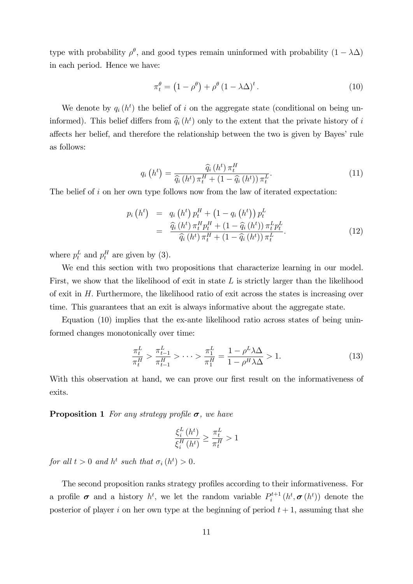type with probability  $\rho^{\theta}$ , and good types remain uninformed with probability  $(1 - \lambda \Delta)$ in each period. Hence we have:

$$
\pi_t^{\theta} = \left(1 - \rho^{\theta}\right) + \rho^{\theta} \left(1 - \lambda \Delta\right)^t. \tag{10}
$$

We denote by  $q_i(h^t)$  the belief of i on the aggregate state (conditional on being uninformed). This belief differs from  $\hat{q}_i(h^t)$  only to the extent that the private history of i affects her belief, and therefore the relationship between the two is given by Bayes' rule as follows:

$$
q_i\left(h^t\right) = \frac{\widehat{q}_i\left(h^t\right)\pi_t^H}{\widehat{q}_i\left(h^t\right)\pi_t^H + \left(1 - \widehat{q}_i\left(h^t\right)\right)\pi_t^L}.\tag{11}
$$

The belief of i on her own type follows now from the law of iterated expectation:

$$
p_i(h^t) = q_i(h^t) p_t^H + (1 - q_i(h^t)) p_t^L
$$
  
= 
$$
\frac{\widehat{q}_i(h^t) \pi_t^H p_t^H + (1 - \widehat{q}_i(h^t)) \pi_t^L p_t^L}{\widehat{q}_i(h^t) \pi_t^H + (1 - \widehat{q}_i(h^t)) \pi_t^L}.
$$
 (12)

where  $p_t^L$  and  $p_t^H$  are given by (3).

We end this section with two propositions that characterize learning in our model. First, we show that the likelihood of exit in state  $L$  is strictly larger than the likelihood of exit in H: Furthermore, the likelihood ratio of exit across the states is increasing over time. This guarantees that an exit is always informative about the aggregate state.

Equation (10) implies that the ex-ante likelihood ratio across states of being uninformed changes monotonically over time:

$$
\frac{\pi_t^L}{\pi_t^H} > \frac{\pi_{t-1}^L}{\pi_{t-1}^H} > \dots > \frac{\pi_1^L}{\pi_1^H} = \frac{1 - \rho^L \lambda \Delta}{1 - \rho^H \lambda \Delta} > 1.
$$
\n(13)

With this observation at hand, we can prove our first result on the informativeness of exits.

**Proposition 1** For any strategy profile  $\sigma$ , we have

$$
\frac{\xi_i^L\left(h^t\right)}{\xi_i^H\left(h^t\right)} \ge \frac{\pi_t^L}{\pi_t^H} > 1
$$

for all  $t > 0$  and  $h^t$  such that  $\sigma_i(h^t) > 0$ .

The second proposition ranks strategy profiles according to their informativeness. For a profile  $\sigma$  and a history  $h^t$ , we let the random variable  $P_i^{t+1}$  $b_i^{t+1}(h^t, \sigma(h^t))$  denote the posterior of player i on her own type at the beginning of period  $t + 1$ , assuming that she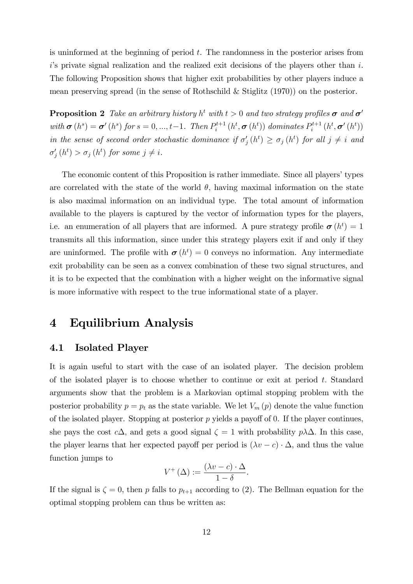is uninformed at the beginning of period t. The randomness in the posterior arises from  $i$ 's private signal realization and the realized exit decisions of the players other than  $i$ . The following Proposition shows that higher exit probabilities by other players induce a mean preserving spread (in the sense of Rothschild & Stiglitz (1970)) on the posterior.

**Proposition 2** Take an arbitrary history  $h^t$  with  $t > 0$  and two strategy profiles  $\sigma$  and  $\sigma'$ with  $\boldsymbol{\sigma}(h^s) = \boldsymbol{\sigma}'(h^s)$  for  $s = 0, ..., t-1$ . Then  $P_i^{t+1}$  $p_i^{t+1}\left(h^t, \bm{\sigma}\left(h^t\right)\right)\,dominates\ P_i^{t+1}$  $p_{i}^{t+1}\left(h^{t},\boldsymbol{\sigma}^{\prime}\left(h^{t}\right)\right)$ in the sense of second order stochastic dominance if  $\sigma'_{j}(h^{t}) \geq \sigma_{j}(h^{t})$  for all  $j \neq i$  and  $\sigma'_{j}(h^{t}) > \sigma_{j}(h^{t})$  for some  $j \neq i$ .

The economic content of this Proposition is rather immediate. Since all players' types are correlated with the state of the world  $\theta$ , having maximal information on the state is also maximal information on an individual type. The total amount of information available to the players is captured by the vector of information types for the players, i.e. an enumeration of all players that are informed. A pure strategy profile  $\boldsymbol{\sigma}(h^t) = 1$ transmits all this information, since under this strategy players exit if and only if they are uninformed. The profile with  $\boldsymbol{\sigma}(h^t) = 0$  conveys no information. Any intermediate exit probability can be seen as a convex combination of these two signal structures, and it is to be expected that the combination with a higher weight on the informative signal is more informative with respect to the true informational state of a player.

### 4 Equilibrium Analysis

#### 4.1 Isolated Player

It is again useful to start with the case of an isolated player. The decision problem of the isolated player is to choose whether to continue or exit at period  $t$ . Standard arguments show that the problem is a Markovian optimal stopping problem with the posterior probability  $p = p_t$  as the state variable. We let  $V_m(p)$  denote the value function of the isolated player. Stopping at posterior  $p$  yields a payoff of 0. If the player continues, she pays the cost  $c\Delta$ , and gets a good signal  $\zeta = 1$  with probability  $p\lambda\Delta$ . In this case, the player learns that her expected payoff per period is  $(\lambda v - c) \cdot \Delta$ , and thus the value function jumps to

$$
V^+(\Delta) := \frac{(\lambda v - c) \cdot \Delta}{1 - \delta}.
$$

If the signal is  $\zeta = 0$ , then p falls to  $p_{t+1}$  according to (2). The Bellman equation for the optimal stopping problem can thus be written as: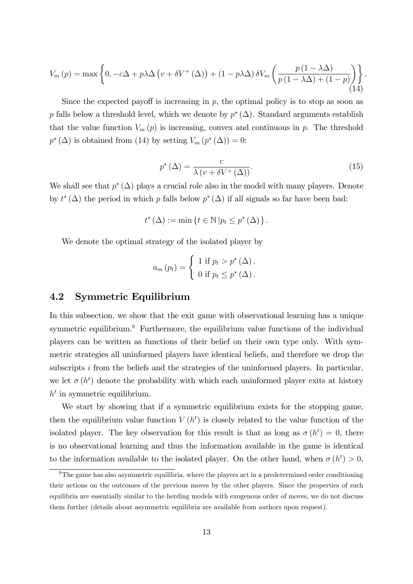$$
V_m(p) = \max\left\{0, -c\Delta + p\lambda\Delta\left(v + \delta V^+(\Delta)\right) + (1 - p\lambda\Delta)\delta V_m\left(\frac{p\left(1 - \lambda\Delta\right)}{p\left(1 - \lambda\Delta\right) + (1 - p)}\right)\right\}.
$$
\n(14)

Since the expected payoff is increasing in  $p$ , the optimal policy is to stop as soon as p falls below a threshold level, which we denote by  $p^*(\Delta)$ . Standard arguments establish that the value function  $V_m(p)$  is increasing, convex and continuous in p. The threshold  $p^*(\Delta)$  is obtained from (14) by setting  $V_m(p^*(\Delta))=0$ :

$$
p^*(\Delta) = \frac{c}{\lambda \left(v + \delta V^+(\Delta)\right)}.\tag{15}
$$

We shall see that  $p^*(\Delta)$  plays a crucial role also in the model with many players. Denote by  $t^*(\Delta)$  the period in which p falls below  $p^*(\Delta)$  if all signals so far have been bad:

$$
t^{\ast} (\Delta) := \min \left\{ t \in \mathbb{N} \left| p_t \leq p^{\ast} (\Delta) \right. \right\}.
$$

We denote the optimal strategy of the isolated player by

$$
a_m(p_t) = \begin{cases} 1 \text{ if } p_t > p^* (\Delta), \\ 0 \text{ if } p_t \leq p^* (\Delta). \end{cases}
$$

#### 4.2 Symmetric Equilibrium

In this subsection, we show that the exit game with observational learning has a unique symmetric equilibrium.<sup>9</sup> Furthermore, the equilibrium value functions of the individual players can be written as functions of their belief on their own type only. With symmetric strategies all uninformed players have identical beliefs, and therefore we drop the subscripts i from the beliefs and the strategies of the uninformed players. In particular, we let  $\sigma(h^t)$  denote the probability with which each uninformed player exits at history  $h<sup>t</sup>$  in symmetric equilibrium.

We start by showing that if a symmetric equilibrium exists for the stopping game, then the equilibrium value function  $V(h^t)$  is closely related to the value function of the isolated player. The key observation for this result is that as long as  $\sigma(h^t) = 0$ , there is no observational learning and thus the information available in the game is identical to the information available to the isolated player. On the other hand, when  $\sigma(h^t) > 0$ ,

 $9$ The game has also asymmetric equilibria, where the players act in a predetermined order conditioning their actions on the outcomes of the previous moves by the other players. Since the properties of such equilibria are essentially similar to the herding models with exogenous order of moves, we do not discuss them further (details about asymmetric equilibria are available from authors upon request).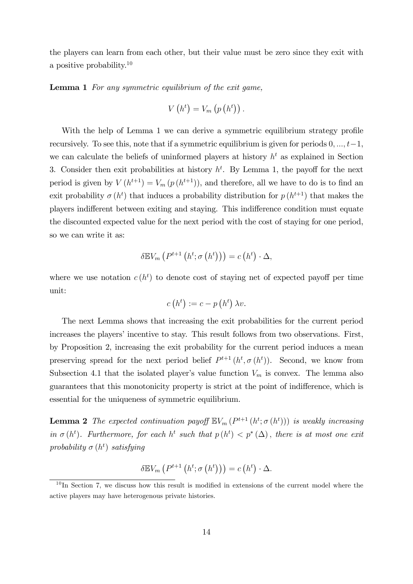the players can learn from each other, but their value must be zero since they exit with a positive probability.<sup>10</sup>

Lemma 1 For any symmetric equilibrium of the exit game,

$$
V\left(h^{t}\right) = V_{m}\left(p\left(h^{t}\right)\right).
$$

With the help of Lemma 1 we can derive a symmetric equilibrium strategy profile recursively. To see this, note that if a symmetric equilibrium is given for periods  $0, ..., t-1$ , we can calculate the beliefs of uninformed players at history  $h<sup>t</sup>$  as explained in Section 3. Consider then exit probabilities at history  $h^t$ . By Lemma 1, the payoff for the next period is given by  $V(h^{t+1}) = V_m(p(h^{t+1}))$ , and therefore, all we have to do is to find an exit probability  $\sigma(h^t)$  that induces a probability distribution for  $p(h^{t+1})$  that makes the players indifferent between exiting and staying. This indifference condition must equate the discounted expected value for the next period with the cost of staying for one period, so we can write it as:

$$
\delta \mathbb{E} V_m\left(P^{t+1}\left(h^t;\sigma\left(h^t\right)\right)\right) = c\left(h^t\right) \cdot \Delta,
$$

where we use notation  $c(h^t)$  to denote cost of staying net of expected payoff per time unit:

$$
c(h^t) := c - p(h^t) \lambda v.
$$

The next Lemma shows that increasing the exit probabilities for the current period increases the players' incentive to stay. This result follows from two observations. First, by Proposition 2, increasing the exit probability for the current period induces a mean preserving spread for the next period belief  $P^{t+1}(h^t, \sigma(h^t))$ . Second, we know from Subsection 4.1 that the isolated player's value function  $V_m$  is convex. The lemma also guarantees that this monotonicity property is strict at the point of indifference, which is essential for the uniqueness of symmetric equilibrium.

**Lemma 2** The expected continuation payoff  $\mathbb{E}V_m(P^{t+1}(h^t; \sigma(h^t)))$  is weakly increasing in  $\sigma(h^t)$ . Furthermore, for each  $h^t$  such that  $p(h^t) < p^*(\Delta)$ , there is at most one exit probability  $\sigma(h^t)$  satisfying

$$
\delta \mathbb{E} V_m\left(P^{t+1}\left(h^t;\sigma\left(h^t\right)\right)\right) = c\left(h^t\right) \cdot \Delta.
$$

 $10$  In Section 7, we discuss how this result is modified in extensions of the current model where the active players may have heterogenous private histories.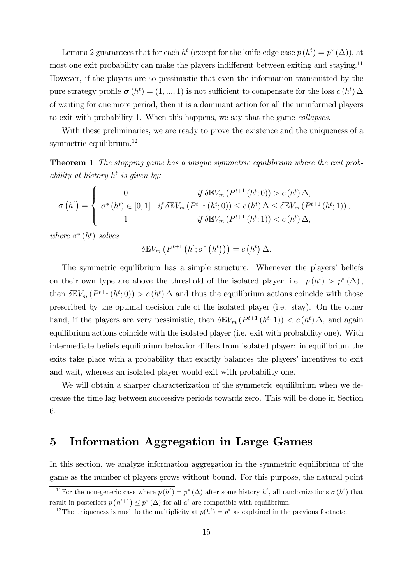Lemma 2 guarantees that for each  $h^t$  (except for the knife-edge case  $p(h^t) = p^*(\Delta)$ ), at most one exit probability can make the players indifferent between exiting and staying.<sup>11</sup> However, if the players are so pessimistic that even the information transmitted by the pure strategy profile  $\boldsymbol{\sigma}(h^t) = (1, ..., 1)$  is not sufficient to compensate for the loss  $c(h^t) \Delta$ of waiting for one more period, then it is a dominant action for all the uninformed players to exit with probability 1. When this happens, we say that the game collapses.

With these preliminaries, we are ready to prove the existence and the uniqueness of a symmetric equilibrium.<sup>12</sup>

**Theorem 1** The stopping game has a unique symmetric equilibrium where the exit probability at history  $h^t$  is given by:

$$
\sigma\left(h^{t}\right) = \begin{cases}\n0 & \text{if } \delta \mathbb{E} V_{m}\left(P^{t+1}\left(h^{t};0\right)\right) > c\left(h^{t}\right) \Delta, \\
\sigma^{*}\left(h^{t}\right) \in [0,1] & \text{if } \delta \mathbb{E} V_{m}\left(P^{t+1}\left(h^{t};0\right)\right) \leq c\left(h^{t}\right) \Delta \leq \delta \mathbb{E} V_{m}\left(P^{t+1}\left(h^{t};1\right)\right), \\
1 & \text{if } \delta \mathbb{E} V_{m}\left(P^{t+1}\left(h^{t};1\right)\right) < c\left(h^{t}\right) \Delta,\n\end{cases}
$$

where  $\sigma^*(h^t)$  solves

$$
\delta \mathbb{E} V_m\left(P^{t+1}\left(h^t; \sigma^*\left(h^t\right)\right)\right) = c\left(h^t\right) \Delta.
$$

The symmetric equilibrium has a simple structure. Whenever the players' beliefs on their own type are above the threshold of the isolated player, i.e.  $p(h^t) > p^*(\Delta)$ , then  $\delta \mathbb{E} V_m (P^{t+1}(h^t;0)) > c(h^t) \Delta$  and thus the equilibrium actions coincide with those prescribed by the optimal decision rule of the isolated player (i.e. stay). On the other hand, if the players are very pessimistic, then  $\delta \mathbb{E} V_m(P^{t+1}(h^t; 1)) < c(h^t) \Delta$ , and again equilibrium actions coincide with the isolated player (i.e. exit with probability one). With intermediate beliefs equilibrium behavior differs from isolated player: in equilibrium the exits take place with a probability that exactly balances the players' incentives to exit and wait, whereas an isolated player would exit with probability one.

We will obtain a sharper characterization of the symmetric equilibrium when we decrease the time lag between successive periods towards zero. This will be done in Section 6.

# 5 Information Aggregation in Large Games

In this section, we analyze information aggregation in the symmetric equilibrium of the game as the number of players grows without bound. For this purpose, the natural point

<sup>&</sup>lt;sup>11</sup>For the non-generic case where  $p(h^t) = p^*(\Delta)$  after some history  $h^t$ , all randomizations  $\sigma(h^t)$  that result in posteriors  $p(h^{t+1}) \leq p^*(\Delta)$  for all  $a^t$  are compatible with equilibrium.

<sup>&</sup>lt;sup>12</sup>The uniqueness is modulo the multiplicity at  $p(h^t) = p^*$  as explained in the previous footnote.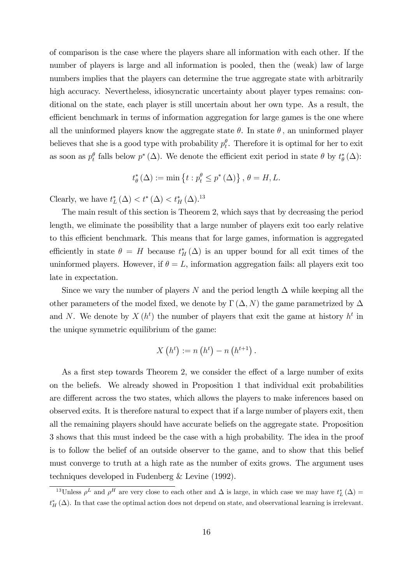of comparison is the case where the players share all information with each other. If the number of players is large and all information is pooled, then the (weak) law of large numbers implies that the players can determine the true aggregate state with arbitrarily high accuracy. Nevertheless, idiosyncratic uncertainty about player types remains: conditional on the state, each player is still uncertain about her own type. As a result, the efficient benchmark in terms of information aggregation for large games is the one where all the uninformed players know the aggregate state  $\theta$ . In state  $\theta$ , an uninformed player believes that she is a good type with probability  $p_t^{\theta}$ . Therefore it is optimal for her to exit as soon as  $p_t^{\theta}$  falls below  $p^*(\Delta)$ . We denote the efficient exit period in state  $\theta$  by  $t^*_{\theta}(\Delta)$ :

$$
t_{\theta}^{*}(\Delta) := \min\left\{ t : p_{t}^{\theta} \le p^{*}(\Delta) \right\}, \, \theta = H, L.
$$

Clearly, we have  $t_L^* (\Delta) < t^* (\Delta) < t_H^* (\Delta)^{13}$ 

The main result of this section is Theorem 2, which says that by decreasing the period length, we eliminate the possibility that a large number of players exit too early relative to this efficient benchmark. This means that for large games, information is aggregated efficiently in state  $\theta = H$  because  $t^*_{H}(\Delta)$  is an upper bound for all exit times of the uninformed players. However, if  $\theta = L$ , information aggregation fails: all players exit too late in expectation.

Since we vary the number of players N and the period length  $\Delta$  while keeping all the other parameters of the model fixed, we denote by  $\Gamma(\Delta, N)$  the game parametrized by  $\Delta$ and N. We denote by  $X(h^t)$  the number of players that exit the game at history  $h^t$  in the unique symmetric equilibrium of the game:

$$
X(h^{t}) := n(h^{t}) - n(h^{t+1}).
$$

As a first step towards Theorem 2, we consider the effect of a large number of exits on the beliefs. We already showed in Proposition 1 that individual exit probabilities are different across the two states, which allows the players to make inferences based on observed exits. It is therefore natural to expect that if a large number of players exit, then all the remaining players should have accurate beliefs on the aggregate state. Proposition 3 shows that this must indeed be the case with a high probability. The idea in the proof is to follow the belief of an outside observer to the game, and to show that this belief must converge to truth at a high rate as the number of exits grows. The argument uses techniques developed in Fudenberg & Levine (1992).

<sup>&</sup>lt;sup>13</sup>Unless  $\rho^L$  and  $\rho^H$  are very close to each other and  $\Delta$  is large, in which case we may have  $t_L^*(\Delta)$  $t^*_{H}(\Delta)$ . In that case the optimal action does not depend on state, and observational learning is irrelevant.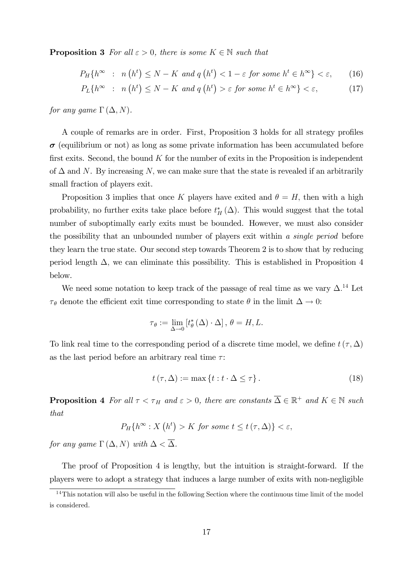**Proposition 3** For all  $\varepsilon > 0$ , there is some  $K \in \mathbb{N}$  such that

$$
P_H\{h^{\infty} : n(h^t) \le N - K \text{ and } q(h^t) < 1 - \varepsilon \text{ for some } h^t \in h^{\infty}\} < \varepsilon,
$$
 (16)

$$
P_L\{h^{\infty} : n(h^t) \le N - K \text{ and } q(h^t) > \varepsilon \text{ for some } h^t \in h^{\infty}\} < \varepsilon,
$$
 (17)

for any game  $\Gamma(\Delta, N)$ .

A couple of remarks are in order. First, Proposition 3 holds for all strategy profiles  $\sigma$  (equilibrium or not) as long as some private information has been accumulated before first exits. Second, the bound  $K$  for the number of exits in the Proposition is independent of  $\Delta$  and N. By increasing N, we can make sure that the state is revealed if an arbitrarily small fraction of players exit.

Proposition 3 implies that once K players have exited and  $\theta = H$ , then with a high probability, no further exits take place before  $t_H^*(\Delta)$ . This would suggest that the total number of suboptimally early exits must be bounded. However, we must also consider the possibility that an unbounded number of players exit within a *single period* before they learn the true state. Our second step towards Theorem 2 is to show that by reducing period length  $\Delta$ , we can eliminate this possibility. This is established in Proposition 4 below.

We need some notation to keep track of the passage of real time as we vary  $\Delta$ .<sup>14</sup> Let  $\tau_{\theta}$  denote the efficient exit time corresponding to state  $\theta$  in the limit  $\Delta \rightarrow 0$ :

$$
\tau_{\theta} := \lim_{\Delta \to 0} \left[ t_{\theta}^{*}(\Delta) \cdot \Delta \right], \, \theta = H, L.
$$

To link real time to the corresponding period of a discrete time model, we define  $t(\tau, \Delta)$ as the last period before an arbitrary real time  $\tau$ :

$$
t(\tau, \Delta) := \max\left\{t : t \cdot \Delta \le \tau\right\}.
$$
 (18)

**Proposition 4** For all  $\tau < \tau_H$  and  $\varepsilon > 0$ , there are constants  $\overline{\Delta} \in \mathbb{R}^+$  and  $K \in \mathbb{N}$  such that

$$
P_H\{h^{\infty}: X\left(h^t\right) > K \text{ for some } t \le t\left(\tau, \Delta\right)\} < \varepsilon,
$$

for any game  $\Gamma(\Delta, N)$  with  $\Delta < \overline{\Delta}$ .

The proof of Proposition 4 is lengthy, but the intuition is straight-forward. If the players were to adopt a strategy that induces a large number of exits with non-negligible

 $14$ This notation will also be useful in the following Section where the continuous time limit of the model is considered.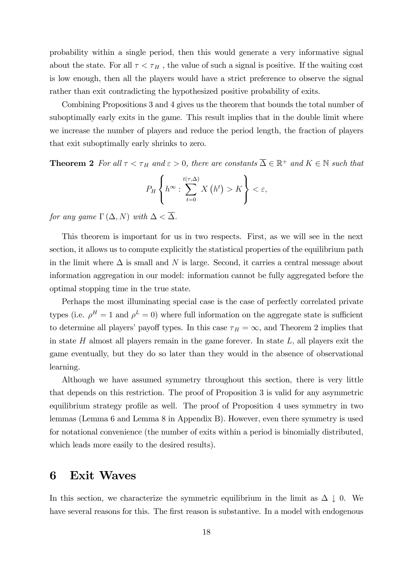probability within a single period, then this would generate a very informative signal about the state. For all  $\tau < \tau_H$ , the value of such a signal is positive. If the waiting cost is low enough, then all the players would have a strict preference to observe the signal rather than exit contradicting the hypothesized positive probability of exits.

Combining Propositions 3 and 4 gives us the theorem that bounds the total number of suboptimally early exits in the game. This result implies that in the double limit where we increase the number of players and reduce the period length, the fraction of players that exit suboptimally early shrinks to zero.

**Theorem 2** For all  $\tau < \tau_H$  and  $\varepsilon > 0$ , there are constants  $\overline{\Delta} \in \mathbb{R}^+$  and  $K \in \mathbb{N}$  such that

$$
P_H\left\{h^{\infty}:\sum_{t=0}^{t(\tau,\Delta)}X\left(h^t\right)>K\right\}<\varepsilon,
$$

for any game  $\Gamma(\Delta, N)$  with  $\Delta < \overline{\Delta}$ .

This theorem is important for us in two respects. First, as we will see in the next section, it allows us to compute explicitly the statistical properties of the equilibrium path in the limit where  $\Delta$  is small and N is large. Second, it carries a central message about information aggregation in our model: information cannot be fully aggregated before the optimal stopping time in the true state.

Perhaps the most illuminating special case is the case of perfectly correlated private types (i.e.  $\rho^H = 1$  and  $\rho^L = 0$ ) where full information on the aggregate state is sufficient to determine all players' payoff types. In this case  $\tau_H = \infty$ , and Theorem 2 implies that in state  $H$  almost all players remain in the game forever. In state  $L$ , all players exit the game eventually, but they do so later than they would in the absence of observational learning.

Although we have assumed symmetry throughout this section, there is very little that depends on this restriction. The proof of Proposition 3 is valid for any asymmetric equilibrium strategy profile as well. The proof of Proposition 4 uses symmetry in two lemmas (Lemma 6 and Lemma 8 in Appendix B). However, even there symmetry is used for notational convenience (the number of exits within a period is binomially distributed, which leads more easily to the desired results).

# 6 Exit Waves

In this section, we characterize the symmetric equilibrium in the limit as  $\Delta \downarrow 0$ . We have several reasons for this. The first reason is substantive. In a model with endogenous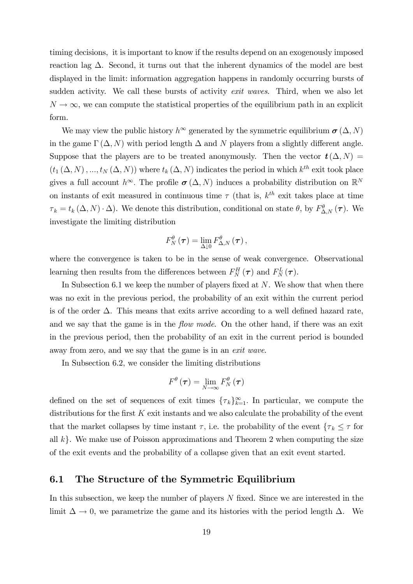timing decisions, it is important to know if the results depend on an exogenously imposed reaction lag  $\Delta$ . Second, it turns out that the inherent dynamics of the model are best displayed in the limit: information aggregation happens in randomly occurring bursts of sudden activity. We call these bursts of activity *exit waves*. Third, when we also let  $N \to \infty$ , we can compute the statistical properties of the equilibrium path in an explicit form.

We may view the public history  $h^{\infty}$  generated by the symmetric equilibrium  $\sigma(\Delta, N)$ in the game  $\Gamma(\Delta, N)$  with period length  $\Delta$  and N players from a slightly different angle. Suppose that the players are to be treated anonymously. Then the vector  $t(\Delta, N)$  $(t_1(\Delta, N), ..., t_N(\Delta, N))$  where  $t_k(\Delta, N)$  indicates the period in which  $k^{th}$  exit took place gives a full account  $h^{\infty}$ . The profile  $\sigma(\Delta, N)$  induces a probability distribution on  $\mathbb{R}^{N}$ on instants of exit measured in continuous time  $\tau$  (that is,  $k^{th}$  exit takes place at time  $\tau_k = t_k (\Delta, N) \cdot \Delta$ ). We denote this distribution, conditional on state  $\theta$ , by  $F^{\theta}_{\Delta, N}(\tau)$ . We investigate the limiting distribution

$$
F_{N}^{\theta}(\boldsymbol{\tau})=\lim_{\Delta\downarrow0}F_{\Delta,N}^{\theta}\left(\boldsymbol{\tau}\right),
$$

where the convergence is taken to be in the sense of weak convergence. Observational learning then results from the differences between  $F_N^H(\tau)$  and  $F_N^L(\tau)$ .

In Subsection 6.1 we keep the number of players fixed at  $N$ . We show that when there was no exit in the previous period, the probability of an exit within the current period is of the order  $\Delta$ . This means that exits arrive according to a well defined hazard rate, and we say that the game is in the *flow mode*. On the other hand, if there was an exit in the previous period, then the probability of an exit in the current period is bounded away from zero, and we say that the game is in an exit wave.

In Subsection 6.2, we consider the limiting distributions

$$
F^{\theta}\left(\boldsymbol{\tau}\right)=\lim_{N\rightarrow\infty}F_{N}^{\theta}\left(\boldsymbol{\tau}\right)
$$

defined on the set of sequences of exit times  $\{\tau_k\}_{k=1}^{\infty}$ . In particular, we compute the distributions for the first  $K$  exit instants and we also calculate the probability of the event that the market collapses by time instant  $\tau$ , i.e. the probability of the event  $\{\tau_k \leq \tau \text{ for }$ all  $k$ . We make use of Poisson approximations and Theorem 2 when computing the size of the exit events and the probability of a collapse given that an exit event started.

### 6.1 The Structure of the Symmetric Equilibrium

In this subsection, we keep the number of players  $N$  fixed. Since we are interested in the limit  $\Delta \to 0$ , we parametrize the game and its histories with the period length  $\Delta$ . We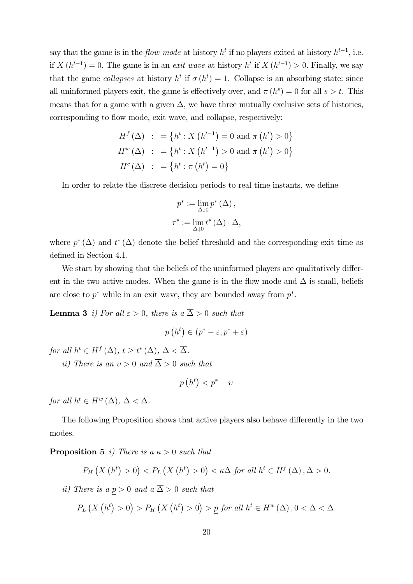say that the game is in the *flow mode* at history  $h^t$  if no players exited at history  $h^{t-1}$ , i.e. if  $X(h^{t-1}) = 0$ . The game is in an exit wave at history  $h^t$  if  $X(h^{t-1}) > 0$ . Finally, we say that the game collapses at history  $h^t$  if  $\sigma(h^t) = 1$ . Collapse is an absorbing state: since all uninformed players exit, the game is effectively over, and  $\pi(h^s) = 0$  for all  $s > t$ . This means that for a game with a given  $\Delta$ , we have three mutually exclusive sets of histories, corresponding to flow mode, exit wave, and collapse, respectively:

$$
H^{f}(\Delta) : = \{ h^{t} : X (h^{t-1}) = 0 \text{ and } \pi (h^{t}) > 0 \}
$$
  

$$
H^{w}(\Delta) : = \{ h^{t} : X (h^{t-1}) > 0 \text{ and } \pi (h^{t}) > 0 \}
$$
  

$$
H^{c}(\Delta) : = \{ h^{t} : \pi (h^{t}) = 0 \}
$$

In order to relate the discrete decision periods to real time instants, we define

$$
p^* := \lim_{\Delta \downarrow 0} p^* (\Delta),
$$
  

$$
\tau^* := \lim_{\Delta \downarrow 0} t^* (\Delta) \cdot \Delta,
$$

where  $p^*(\Delta)$  and  $t^*(\Delta)$  denote the belief threshold and the corresponding exit time as defined in Section 4.1.

We start by showing that the beliefs of the uninformed players are qualitatively different in the two active modes. When the game is in the flow mode and  $\Delta$  is small, beliefs are close to  $p^*$  while in an exit wave, they are bounded away from  $p^*$ .

**Lemma 3** i) For all  $\varepsilon > 0$ , there is a  $\overline{\Delta} > 0$  such that

$$
p(h^t) \in (p^* - \varepsilon, p^* + \varepsilon)
$$

for all  $h^t \in H^f(\Delta)$ ,  $t \geq t^*(\Delta)$ ,  $\Delta < \overline{\Delta}$ .

ii) There is an  $v > 0$  and  $\overline{\Delta} > 0$  such that

$$
p\left(h^t\right) < p^* - \upsilon
$$

for all  $h^t \in H^w(\Delta)$ ,  $\Delta < \overline{\Delta}$ .

The following Proposition shows that active players also behave differently in the two modes.

**Proposition 5** i) There is a  $\kappa > 0$  such that

$$
P_H\left(X\left(h^t\right) > 0\right) < P_L\left(X\left(h^t\right) > 0\right) < \kappa \Delta \text{ for all } h^t \in H^f\left(\Delta\right), \Delta > 0.
$$

ii) There is a  $p > 0$  and a  $\overline{\Delta} > 0$  such that

$$
P_L\left(X\left(h^t\right) > 0\right) > P_H\left(X\left(h^t\right) > 0\right) > \underline{p} \text{ for all } h^t \in H^w\left(\Delta\right), 0 < \Delta < \overline{\Delta}.
$$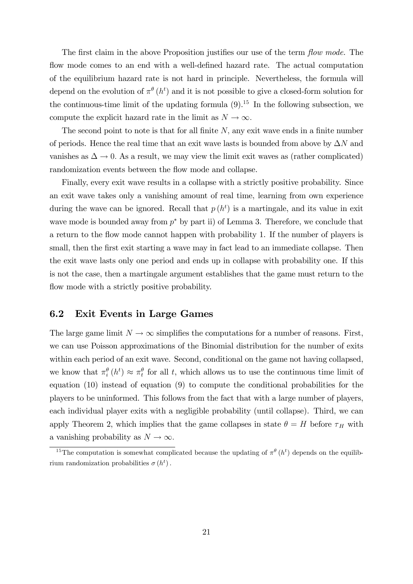The first claim in the above Proposition justifies our use of the term *flow mode*. The flow mode comes to an end with a well-defined hazard rate. The actual computation of the equilibrium hazard rate is not hard in principle. Nevertheless, the formula will depend on the evolution of  $\pi^{\theta}(h^{t})$  and it is not possible to give a closed-form solution for the continuous-time limit of the updating formula  $(9)^{15}$ . In the following subsection, we compute the explicit hazard rate in the limit as  $N \to \infty$ .

The second point to note is that for all finite  $N$ , any exit wave ends in a finite number of periods. Hence the real time that an exit wave lasts is bounded from above by  $\Delta N$  and vanishes as  $\Delta \rightarrow 0$ . As a result, we may view the limit exit waves as (rather complicated) randomization events between the flow mode and collapse.

Finally, every exit wave results in a collapse with a strictly positive probability. Since an exit wave takes only a vanishing amount of real time, learning from own experience during the wave can be ignored. Recall that  $p(h^t)$  is a martingale, and its value in exit wave mode is bounded away from  $p^*$  by part ii) of Lemma 3. Therefore, we conclude that a return to the flow mode cannot happen with probability 1. If the number of players is small, then the first exit starting a wave may in fact lead to an immediate collapse. Then the exit wave lasts only one period and ends up in collapse with probability one. If this is not the case, then a martingale argument establishes that the game must return to the flow mode with a strictly positive probability.

### 6.2 Exit Events in Large Games

The large game limit  $N \to \infty$  simplifies the computations for a number of reasons. First, we can use Poisson approximations of the Binomial distribution for the number of exits within each period of an exit wave. Second, conditional on the game not having collapsed, we know that  $\pi_i^{\theta}(h^t) \approx \pi_t^{\theta}$  for all t, which allows us to use the continuous time limit of equation (10) instead of equation (9) to compute the conditional probabilities for the players to be uninformed. This follows from the fact that with a large number of players, each individual player exits with a negligible probability (until collapse). Third, we can apply Theorem 2, which implies that the game collapses in state  $\theta = H$  before  $\tau_H$  with a vanishing probability as  $N \to \infty$ .

<sup>&</sup>lt;sup>15</sup>The computation is somewhat complicated because the updating of  $\pi^{\theta}(h^t)$  depends on the equilibrium randomization probabilities  $\sigma(h^t)$ .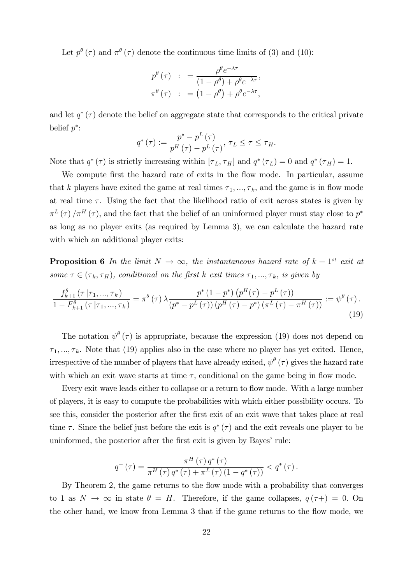Let  $p^{\theta}(\tau)$  and  $\pi^{\theta}(\tau)$  denote the continuous time limits of (3) and (10):

$$
p^{\theta}(\tau) \quad : \quad = \frac{\rho^{\theta} e^{-\lambda \tau}}{(1 - \rho^{\theta}) + \rho^{\theta} e^{-\lambda \tau}},
$$

$$
\pi^{\theta}(\tau) \quad : \quad = (1 - \rho^{\theta}) + \rho^{\theta} e^{-\lambda \tau},
$$

and let  $q^*(\tau)$  denote the belief on aggregate state that corresponds to the critical private belief  $p^*$ :

$$
q^{\ast}(\tau) := \frac{p^{\ast} - p^{L}(\tau)}{p^{H}(\tau) - p^{L}(\tau)}, \tau_{L} \leq \tau \leq \tau_{H}.
$$

Note that  $q^*(\tau)$  is strictly increasing within  $[\tau_L, \tau_H]$  and  $q^*(\tau_L) = 0$  and  $q^*(\tau_H) = 1$ .

We compute first the hazard rate of exits in the flow mode. In particular, assume that k players have exited the game at real times  $\tau_1, ..., \tau_k$ , and the game is in flow mode at real time  $\tau$ . Using the fact that the likelihood ratio of exit across states is given by  $\pi^L(\tau)/\pi^H(\tau)$ , and the fact that the belief of an uninformed player must stay close to  $p^*$ as long as no player exits (as required by Lemma 3), we can calculate the hazard rate with which an additional player exits:

**Proposition 6** In the limit  $N \to \infty$ , the instantaneous hazard rate of  $k + 1$ <sup>st</sup> exit at some  $\tau \in (\tau_k, \tau_H)$ , conditional on the first k exit times  $\tau_1, ..., \tau_k$ , is given by

$$
\frac{f_{k+1}^{\theta}(\tau \mid \tau_{1}, \ldots, \tau_{k})}{1 - F_{k+1}^{\theta}(\tau \mid \tau_{1}, \ldots, \tau_{k})} = \pi^{\theta}(\tau) \,\lambda \frac{p^{*} \,(1 - p^{*}) \,(p^{H}(\tau) - p^{L}(\tau))}{(p^{*} - p^{L}(\tau)) \,(p^{H}(\tau) - p^{*}) \,(\pi^{L}(\tau) - \pi^{H}(\tau))} := \psi^{\theta}(\tau) \,.
$$
\n(19)

The notation  $\psi^{\theta}(\tau)$  is appropriate, because the expression (19) does not depend on  $\tau_1, \ldots, \tau_k$ . Note that (19) applies also in the case where no player has yet exited. Hence, irrespective of the number of players that have already exited,  $\psi^{\theta}(\tau)$  gives the hazard rate with which an exit wave starts at time  $\tau$ , conditional on the game being in flow mode.

Every exit wave leads either to collapse or a return to flow mode. With a large number of players, it is easy to compute the probabilities with which either possibility occurs. To see this, consider the posterior after the first exit of an exit wave that takes place at real time  $\tau$ . Since the belief just before the exit is  $q^*(\tau)$  and the exit reveals one player to be uninformed, the posterior after the first exit is given by Bayes' rule:

$$
q^{-}(\tau) = \frac{\pi^{H}(\tau) q^{*}(\tau)}{\pi^{H}(\tau) q^{*}(\tau) + \pi^{L}(\tau) (1 - q^{*}(\tau))} < q^{*}(\tau).
$$

By Theorem 2, the game returns to the flow mode with a probability that converges to 1 as  $N \to \infty$  in state  $\theta = H$ . Therefore, if the game collapses,  $q(\tau+) = 0$ . On the other hand, we know from Lemma 3 that if the game returns to the flow mode, we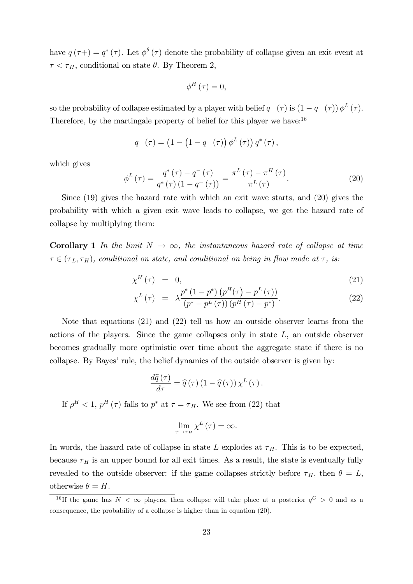have  $q(\tau+) = q^*(\tau)$ . Let  $\phi^{\theta}(\tau)$  denote the probability of collapse given an exit event at  $\tau < \tau_H$ , conditional on state  $\theta$ . By Theorem 2,

$$
\phi^{H}(\tau)=0,
$$

so the probability of collapse estimated by a player with belief  $q^-$  ( $\tau$ ) is  $(1 - q^-$  ( $\tau$ ))  $\phi^L$  ( $\tau$ ). Therefore, by the martingale property of belief for this player we have:  $16$ 

$$
q^{-}(\tau) = (1 - (1 - q^{-}(\tau)) \phi^{L}(\tau)) q^{*}(\tau),
$$

which gives

$$
\phi^{L}(\tau) = \frac{q^{*}(\tau) - q^{-}(\tau)}{q^{*}(\tau)(1 - q^{-}(\tau))} = \frac{\pi^{L}(\tau) - \pi^{H}(\tau)}{\pi^{L}(\tau)}.
$$
\n(20)

Since (19) gives the hazard rate with which an exit wave starts, and (20) gives the probability with which a given exit wave leads to collapse, we get the hazard rate of collapse by multiplying them:

**Corollary 1** In the limit  $N \to \infty$ , the instantaneous hazard rate of collapse at time  $\tau \in (\tau_L, \tau_H)$ , conditional on state, and conditional on being in flow mode at  $\tau$ , is:

$$
\chi^H(\tau) = 0,\tag{21}
$$

$$
\chi^{L}(\tau) = \lambda \frac{p^{*} (1 - p^{*}) (p^{H}(\tau) - p^{L}(\tau))}{(p^{*} - p^{L}(\tau)) (p^{H}(\tau) - p^{*})}.
$$
\n(22)

Note that equations (21) and (22) tell us how an outside observer learns from the actions of the players. Since the game collapses only in state L, an outside observer becomes gradually more optimistic over time about the aggregate state if there is no collapse. By Bayes' rule, the belief dynamics of the outside observer is given by:

$$
\frac{d\widehat{q}(\tau)}{d\tau} = \widehat{q}(\tau) (1 - \widehat{q}(\tau)) \chi^L(\tau).
$$

If  $\rho^H < 1$ ,  $p^H(\tau)$  falls to  $p^*$  at  $\tau = \tau_H$ . We see from (22) that

$$
\lim_{\tau \to \tau_H} \chi^L(\tau) = \infty.
$$

In words, the hazard rate of collapse in state L explodes at  $\tau_H$ . This is to be expected, because  $\tau_H$  is an upper bound for all exit times. As a result, the state is eventually fully revealed to the outside observer: if the game collapses strictly before  $\tau_H$ , then  $\theta = L$ , otherwise  $\theta = H$ .

<sup>&</sup>lt;sup>16</sup>If the game has  $N < \infty$  players, then collapse will take place at a posterior  $q^C > 0$  and as a consequence, the probability of a collapse is higher than in equation (20).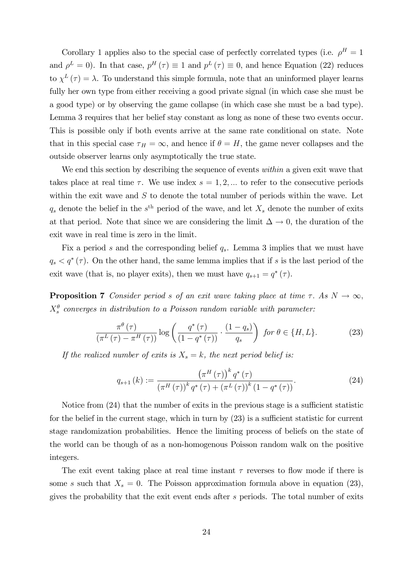Corollary 1 applies also to the special case of perfectly correlated types (i.e.  $\rho^H = 1$ ) and  $\rho^L = 0$ ). In that case,  $p^H(\tau) \equiv 1$  and  $p^L(\tau) \equiv 0$ , and hence Equation (22) reduces to  $\chi^L(\tau) = \lambda$ . To understand this simple formula, note that an uninformed player learns fully her own type from either receiving a good private signal (in which case she must be a good type) or by observing the game collapse (in which case she must be a bad type). Lemma 3 requires that her belief stay constant as long as none of these two events occur. This is possible only if both events arrive at the same rate conditional on state. Note that in this special case  $\tau_H = \infty$ , and hence if  $\theta = H$ , the game never collapses and the outside observer learns only asymptotically the true state.

We end this section by describing the sequence of events within a given exit wave that takes place at real time  $\tau$ . We use index  $s = 1, 2, ...$  to refer to the consecutive periods within the exit wave and  $S$  to denote the total number of periods within the wave. Let  $q_s$  denote the belief in the s<sup>th</sup> period of the wave, and let  $X_s$  denote the number of exits at that period. Note that since we are considering the limit  $\Delta \rightarrow 0$ , the duration of the exit wave in real time is zero in the limit.

Fix a period s and the corresponding belief  $q_s$ . Lemma 3 implies that we must have  $q_s < q^*(\tau)$ . On the other hand, the same lemma implies that if s is the last period of the exit wave (that is, no player exits), then we must have  $q_{s+1} = q^*(\tau)$ .

**Proposition 7** Consider period s of an exit wave taking place at time  $\tau$ . As  $N \to \infty$ ,  $X_s^{\theta}$  converges in distribution to a Poisson random variable with parameter:

$$
\frac{\pi^{\theta}(\tau)}{(\pi^L(\tau) - \pi^H(\tau))} \log \left( \frac{q^*(\tau)}{(1 - q^*(\tau))} \cdot \frac{(1 - q_s)}{q_s} \right) \text{ for } \theta \in \{H, L\}. \tag{23}
$$

If the realized number of exits is  $X_s = k$ , the next period belief is:

$$
q_{s+1}(k) := \frac{\left(\pi^H(\tau)\right)^k q^*(\tau)}{\left(\pi^H(\tau)\right)^k q^*(\tau) + \left(\pi^L(\tau)\right)^k \left(1 - q^*(\tau)\right)}.
$$
\n(24)

Notice from  $(24)$  that the number of exits in the previous stage is a sufficient statistic for the belief in the current stage, which in turn by  $(23)$  is a sufficient statistic for current stage randomization probabilities. Hence the limiting process of beliefs on the state of the world can be though of as a non-homogenous Poisson random walk on the positive integers.

The exit event taking place at real time instant  $\tau$  reverses to flow mode if there is some s such that  $X_s = 0$ . The Poisson approximation formula above in equation (23), gives the probability that the exit event ends after s periods. The total number of exits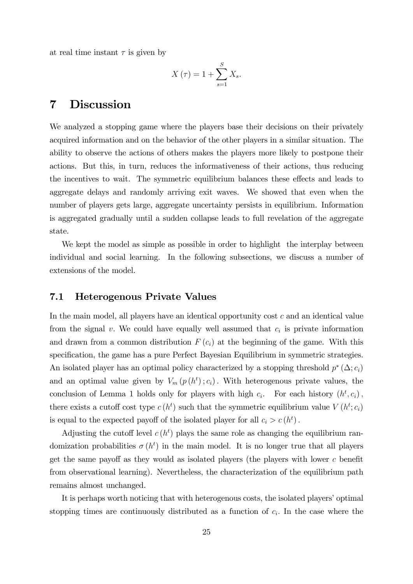at real time instant  $\tau$  is given by

$$
X\left(\tau\right) = 1 + \sum_{s=1}^{S} X_s.
$$

### 7 Discussion

We analyzed a stopping game where the players base their decisions on their privately acquired information and on the behavior of the other players in a similar situation. The ability to observe the actions of others makes the players more likely to postpone their actions. But this, in turn, reduces the informativeness of their actions, thus reducing the incentives to wait. The symmetric equilibrium balances these effects and leads to aggregate delays and randomly arriving exit waves. We showed that even when the number of players gets large, aggregate uncertainty persists in equilibrium. Information is aggregated gradually until a sudden collapse leads to full revelation of the aggregate state.

We kept the model as simple as possible in order to highlight the interplay between individual and social learning. In the following subsections, we discuss a number of extensions of the model.

#### 7.1 Heterogenous Private Values

In the main model, all players have an identical opportunity cost c and an identical value from the signal  $v$ . We could have equally well assumed that  $c_i$  is private information and drawn from a common distribution  $F(c_i)$  at the beginning of the game. With this specification, the game has a pure Perfect Bayesian Equilibrium in symmetric strategies. An isolated player has an optimal policy characterized by a stopping threshold  $p^*(\Delta; c_i)$ and an optimal value given by  $V_m(p(h^t); c_i)$ . With heterogenous private values, the conclusion of Lemma 1 holds only for players with high  $c_i$ . For each history  $(h^t, c_i)$ , there exists a cutoff cost type  $c(h^t)$  such that the symmetric equilibrium value  $V(h^t; c_i)$ is equal to the expected payoff of the isolated player for all  $c_i > c(h^t)$ .

Adjusting the cutoff level  $c(h^t)$  plays the same role as changing the equilibrium randomization probabilities  $\sigma(h^t)$  in the main model. It is no longer true that all players get the same payoff as they would as isolated players (the players with lower  $c$  benefit from observational learning). Nevertheless, the characterization of the equilibrium path remains almost unchanged.

It is perhaps worth noticing that with heterogenous costs, the isolated players' optimal stopping times are continuously distributed as a function of  $c_i$ . In the case where the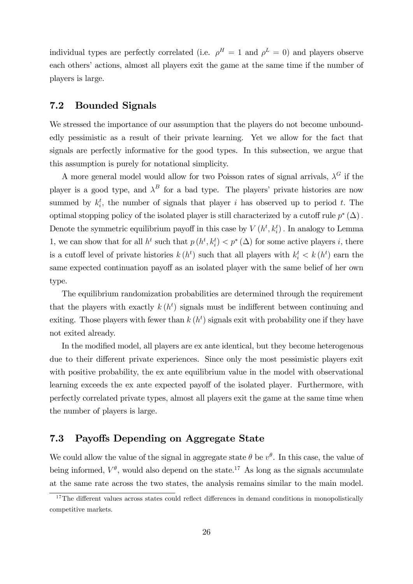individual types are perfectly correlated (i.e.  $\rho^H = 1$  and  $\rho^L = 0$ ) and players observe each others' actions, almost all players exit the game at the same time if the number of players is large.

### 7.2 Bounded Signals

We stressed the importance of our assumption that the players do not become unboundedly pessimistic as a result of their private learning. Yet we allow for the fact that signals are perfectly informative for the good types. In this subsection, we argue that this assumption is purely for notational simplicity.

A more general model would allow for two Poisson rates of signal arrivals,  $\lambda^G$  if the player is a good type, and  $\lambda^B$  for a bad type. The players' private histories are now summed by  $k_i^t$ , the number of signals that player i has observed up to period t. The optimal stopping policy of the isolated player is still characterized by a cutoff rule  $p^*(\Delta)$ . Denote the symmetric equilibrium payoff in this case by  $V(h^t, k_i^t)$ . In analogy to Lemma 1, we can show that for all  $h^t$  such that  $p(h^t, k_i^t) < p^*(\Delta)$  for some active players i, there is a cutoff level of private histories  $k(h^t)$  such that all players with  $k_i^t < k(h^t)$  earn the same expected continuation payoff as an isolated player with the same belief of her own type.

The equilibrium randomization probabilities are determined through the requirement that the players with exactly  $k(h^t)$  signals must be indifferent between continuing and exiting. Those players with fewer than  $k(h^t)$  signals exit with probability one if they have not exited already.

In the modified model, all players are ex ante identical, but they become heterogenous due to their different private experiences. Since only the most pessimistic players exit with positive probability, the ex ante equilibrium value in the model with observational learning exceeds the ex ante expected payoff of the isolated player. Furthermore, with perfectly correlated private types, almost all players exit the game at the same time when the number of players is large.

### 7.3 Payoffs Depending on Aggregate State

We could allow the value of the signal in aggregate state  $\theta$  be  $v^{\theta}$ . In this case, the value of being informed,  $V^{\theta}$ , would also depend on the state.<sup>17</sup> As long as the signals accumulate at the same rate across the two states, the analysis remains similar to the main model.

 $17$ The different values across states could reflect differences in demand conditions in monopolistically competitive markets.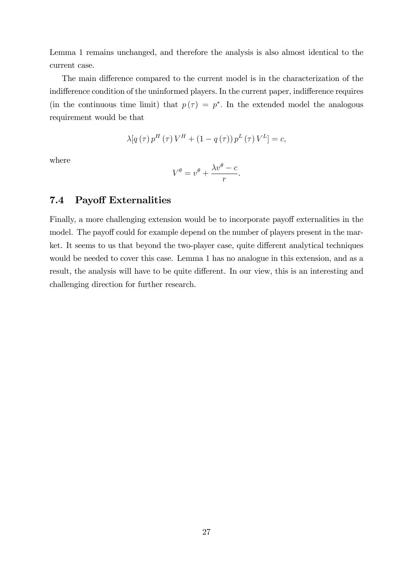Lemma 1 remains unchanged, and therefore the analysis is also almost identical to the current case.

The main difference compared to the current model is in the characterization of the indifference condition of the uninformed players. In the current paper, indifference requires (in the continuous time limit) that  $p(\tau) = p^*$ . In the extended model the analogous requirement would be that

$$
\lambda [q(\tau) p^{H}(\tau) V^{H} + (1 - q(\tau)) p^{L}(\tau) V^{L}] = c,
$$

where

$$
V^{\theta} = v^{\theta} + \frac{\lambda v^{\theta} - c}{r}.
$$

#### 7.4 Payoff Externalities

Finally, a more challenging extension would be to incorporate payoff externalities in the model. The payoff could for example depend on the number of players present in the market. It seems to us that beyond the two-player case, quite different analytical techniques would be needed to cover this case. Lemma 1 has no analogue in this extension, and as a result, the analysis will have to be quite different. In our view, this is an interesting and challenging direction for further research.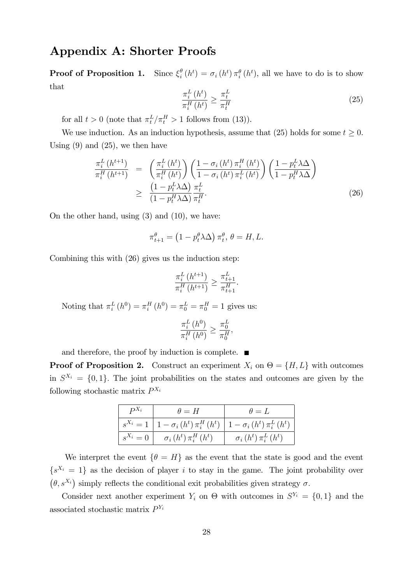# Appendix A: Shorter Proofs

**Proof of Proposition 1.** Since  $\xi_i^{\theta}$  $\theta_i^{\theta}(h^t) = \sigma_i(h^t) \pi_i^{\theta}(h^t)$ , all we have to do is to show that

$$
\frac{\pi_i^L(h^t)}{\pi_i^H(h^t)} \ge \frac{\pi_t^L}{\pi_t^H}
$$
\n(25)

for all  $t > 0$  (note that  $\pi_t^L / \pi_t^H > 1$  follows from (13)).

We use induction. As an induction hypothesis, assume that (25) holds for some  $t \geq 0$ . Using  $(9)$  and  $(25)$ , we then have

$$
\frac{\pi_i^L(h^{t+1})}{\pi_i^H(h^{t+1})} = \left(\frac{\pi_i^L(h^t)}{\pi_i^H(h^t)}\right) \left(\frac{1-\sigma_i(h^t)\pi_i^H(h^t)}{1-\sigma_i(h^t)\pi_i^L(h^t)}\right) \left(\frac{1-p_t^L\lambda\Delta}{1-p_t^H\lambda\Delta}\right)
$$
\n
$$
\geq \frac{\left(1-p_t^L\lambda\Delta\right)\pi_t^L}{\left(1-p_t^H\lambda\Delta\right)\pi_t^H}.\tag{26}
$$

On the other hand, using (3) and (10), we have:

$$
\pi_{t+1}^{\theta} = \left(1 - p_t^{\theta} \lambda \Delta\right) \pi_t^{\theta}, \, \theta = H, L.
$$

Combining this with (26) gives us the induction step:

$$
\frac{\pi_i^L (h^{t+1})}{\pi_i^H (h^{t+1})} \ge \frac{\pi_{t+1}^L}{\pi_{t+1}^H}.
$$

Noting that  $\pi_i^L(h^0) = \pi_i^H(h^0) = \pi_0^L = \pi_0^H = 1$  gives us:

$$
\frac{\pi_i^L(h^0)}{\pi_i^H(h^0)} \ge \frac{\pi_0^L}{\pi_0^H}
$$

;

and therefore, the proof by induction is complete.  $\blacksquare$ 

**Proof of Proposition 2.** Construct an experiment  $X_i$  on  $\Theta = \{H, L\}$  with outcomes in  $S^{X_i} = \{0,1\}$ . The joint probabilities on the states and outcomes are given by the following stochastic matrix  $P^{X_i}$ 

| $P^{X_i}$   | $\theta = H$                                    | $\theta = L$                     |
|-------------|-------------------------------------------------|----------------------------------|
| $s^{X_i}=1$ | $\left  1 - \sigma_i(h^t) \pi_i^H(h^t) \right $ | $1 - \sigma_i(h^t) \pi_i^L(h^t)$ |
| $s^{X_i}=0$ | $\sigma_i(h^t) \pi_i^H(h^t)$                    | $\sigma_i(h^t) \pi_i^L(h^t)$     |

We interpret the event  $\{\theta = H\}$  as the event that the state is good and the event  $\{s^{X_i} = 1\}$  as the decision of player i to stay in the game. The joint probability over  $(\theta, s^{X_i})$  simply reflects the conditional exit probabilities given strategy  $\sigma$ .

Consider next another experiment  $Y_i$  on  $\Theta$  with outcomes in  $S^{Y_i} = \{0,1\}$  and the associated stochastic matrix  $P^{Y_i}$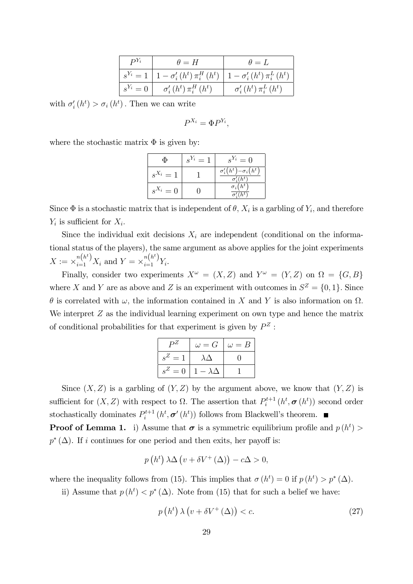| $\mathbb{P}^{Y_i}$ | $\theta = H$                             | $\theta = L$                                            |
|--------------------|------------------------------------------|---------------------------------------------------------|
| $s^{Y_i}=1$        | $1-\sigma'_{i}(h^{t})\pi_{i}^{H}(h^{t})$ | $\left  1-\sigma'_{i}(h^{t})\pi^{L}_{i}(h^{t}) \right $ |
| $s^{Y_i}=0$        | $\sigma'_{i}(h^{t})\pi_{i}^{H}(h^{t})$   | $\sigma'_{i}(h^{t})\pi_{i}^{L}(h^{t})$                  |

with  $\sigma'_{i}(h^{t}) > \sigma_{i}(h^{t})$ . Then we can write

$$
P^{X_i} = \Phi P^{Y_i},
$$

where the stochastic matrix  $\Phi$  is given by:

| Φ           | $s^{Y_i}=1$ | $s^{Y_i}=0$                                                        |
|-------------|-------------|--------------------------------------------------------------------|
| $s^{X_i}=1$ |             | $\sigma'_{i}(h^{t})-\sigma_{i}(h^{t})$<br>$\sigma'_i(h^{\bar{t}})$ |
| $s^{X_i}=0$ |             | $\sigma_i$<br>(h <sup>t</sup> )                                    |

Since  $\Phi$  is a stochastic matrix that is independent of  $\theta$ ,  $X_i$  is a garbling of  $Y_i$ , and therefore  $Y_i$  is sufficient for  $X_i$ .

Since the individual exit decisions  $X_i$  are independent (conditional on the informational status of the players), the same argument as above applies for the joint experiments  $X := \times_{i=1}^{n(h^t)} X_i$  and  $Y = \times_{i=1}^{n(h^t)} Y_i$ .

Finally, consider two experiments  $X^{\omega} = (X, Z)$  and  $Y^{\omega} = (Y, Z)$  on  $\Omega = \{G, B\}$ where X and Y are as above and Z is an experiment with outcomes in  $S^Z = \{0, 1\}$ . Since  $\theta$  is correlated with  $\omega$ , the information contained in X and Y is also information on  $\Omega$ . We interpret  $Z$  as the individual learning experiment on own type and hence the matrix of conditional probabilities for that experiment is given by  $P^Z$ :

| $P^{\pmb{Z}}$ | $\omega = G$      | $\omega = B$ |
|---------------|-------------------|--------------|
| $s^Z=1$       | $\lambda \Delta$  |              |
| $s^Z=0$       | $1-\lambda\Delta$ |              |

Since  $(X, Z)$  is a garbling of  $(Y, Z)$  by the argument above, we know that  $(Y, Z)$  is sufficient for  $(X, Z)$  with respect to  $\Omega$ . The assertion that  $P_i^{t+1}$  $p_i^{t+1}\left(h^t, \boldsymbol{\sigma}\left(h^t\right)\right)$  second order stochastically dominates  $P_i^{t+1}$  $i_t^{t+1}(h^t, \sigma'(h^t))$  follows from Blackwell's theorem.

**Proof of Lemma 1.** i) Assume that  $\sigma$  is a symmetric equilibrium profile and  $p(h^t)$  $p^*(\Delta)$ . If i continues for one period and then exits, her payoff is:

$$
p(ht) \lambda \Delta (v + \delta V^+(\Delta)) - c\Delta > 0,
$$

where the inequality follows from (15). This implies that  $\sigma(h^t) = 0$  if  $p(h^t) > p^*(\Delta)$ .

ii) Assume that  $p(h^t) < p^*(\Delta)$ . Note from (15) that for such a belief we have:

$$
p(h^t) \lambda (v + \delta V^+(\Delta)) < c. \tag{27}
$$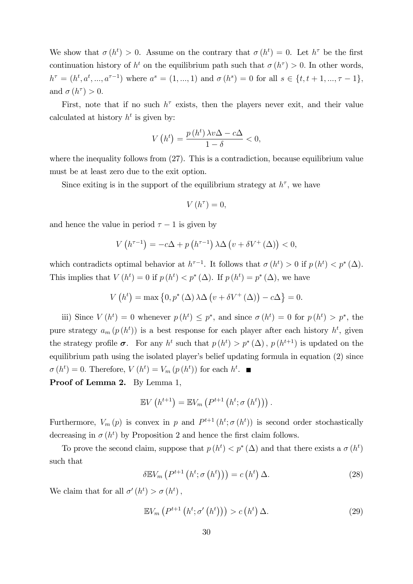We show that  $\sigma(h^t) > 0$ . Assume on the contrary that  $\sigma(h^t) = 0$ . Let  $h^{\tau}$  be the first continuation history of  $h^t$  on the equilibrium path such that  $\sigma(h^{\tau}) > 0$ . In other words,  $h^{\tau} = (h^t, a^t, ..., a^{\tau-1})$  where  $a^s = (1, ..., 1)$  and  $\sigma(h^s) = 0$  for all  $s \in \{t, t+1, ..., \tau-1\}$ , and  $\sigma(h^{\tau}) > 0$ .

First, note that if no such  $h^{\tau}$  exists, then the players never exit, and their value calculated at history  $h^t$  is given by:

$$
V\left(h^t\right) = \frac{p\left(h^t\right)\lambda v \Delta - c\Delta}{1 - \delta} < 0,
$$

where the inequality follows from  $(27)$ . This is a contradiction, because equilibrium value must be at least zero due to the exit option.

Since exiting is in the support of the equilibrium strategy at  $h^{\tau}$ , we have

$$
V\left( h^{\tau}\right) =0,
$$

and hence the value in period  $\tau - 1$  is given by

$$
V\left(h^{\tau-1}\right) = -c\Delta + p\left(h^{\tau-1}\right)\lambda\Delta\left(v + \delta V^+\left(\Delta\right)\right) < 0,
$$

which contradicts optimal behavior at  $h^{\tau-1}$ . It follows that  $\sigma(h^t) > 0$  if  $p(h^t) < p^*(\Delta)$ . This implies that  $V(h^t) = 0$  if  $p(h^t) < p^*(\Delta)$ . If  $p(h^t) = p^*(\Delta)$ , we have

$$
V(ht) = \max \{0, p^*(\Delta) \lambda \Delta (v + \delta V^+(\Delta)) - c\Delta \} = 0.
$$

iii) Since  $V(h^t) = 0$  whenever  $p(h^t) \leq p^*$ , and since  $\sigma(h^t) = 0$  for  $p(h^t) > p^*$ , the pure strategy  $a_m(p(h^t))$  is a best response for each player after each history  $h^t$ , given the strategy profile  $\sigma$ . For any  $h^t$  such that  $p(h^t) > p^*(\Delta)$ ,  $p(h^{t+1})$  is updated on the equilibrium path using the isolated player's belief updating formula in equation  $(2)$  since  $\sigma(h^t) = 0$ . Therefore,  $V(h^t) = V_m(p(h^t))$  for each  $h^t$ .

Proof of Lemma 2. By Lemma 1,

$$
\mathbb{E}V\left(h^{t+1}\right) = \mathbb{E}V_m\left(P^{t+1}\left(h^t; \sigma\left(h^t\right)\right)\right).
$$

Furthermore,  $V_m(p)$  is convex in p and  $P^{t+1}(h^t; \sigma(h^t))$  is second order stochastically decreasing in  $\sigma(h^t)$  by Proposition 2 and hence the first claim follows.

To prove the second claim, suppose that  $p(h^t) < p^*(\Delta)$  and that there exists a  $\sigma(h^t)$ such that

$$
\delta \mathbb{E} V_m \left( P^{t+1} \left( h^t; \sigma \left( h^t \right) \right) \right) = c \left( h^t \right) \Delta. \tag{28}
$$

We claim that for all  $\sigma'(h^t) > \sigma(h^t)$ ,

$$
\mathbb{E}V_m\left(P^{t+1}\left(h^t;\sigma'\left(h^t\right)\right)\right)>c\left(h^t\right)\Delta.\tag{29}
$$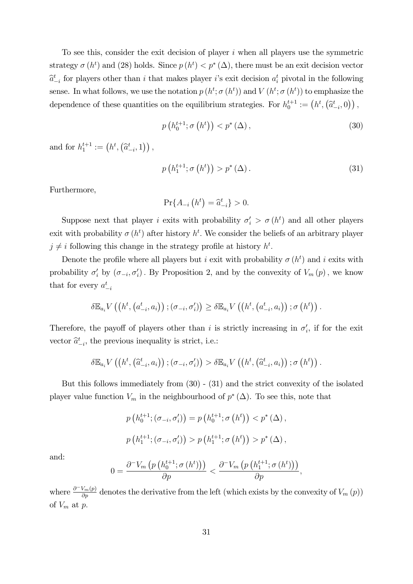To see this, consider the exit decision of player  $i$  when all players use the symmetric strategy  $\sigma(h^t)$  and (28) holds. Since  $p(h^t) < p^*(\Delta)$ , there must be an exit decision vector  $\hat{a}_{-i}^{t}$  for players other than i that makes player i's exit decision  $a_i^{t}$  pivotal in the following sense. In what follows, we use the notation  $p(h^t; \sigma(h^t))$  and  $V(h^t; \sigma(h^t))$  to emphasize the dependence of these quantities on the equilibrium strategies. For  $h_0^{t+1} := (h^t, (\hat{a}_{-i}^t, 0))$ ,

$$
p\left(h_0^{t+1}; \sigma\left(h^t\right)\right) < p^*\left(\Delta\right),\tag{30}
$$

and for  $h_1^{t+1} := (h^t, (\hat{a}_{-i}^t, 1))$ ,

$$
p\left(h_1^{t+1}; \sigma\left(h^t\right)\right) > p^*\left(\Delta\right). \tag{31}
$$

Furthermore,

$$
\Pr\{A_{-i}\left(h^{t}\right) = \hat{a}_{-i}^{t}\} > 0.
$$

Suppose next that player *i* exits with probability  $\sigma'_i > \sigma(h^t)$  and all other players exit with probability  $\sigma(h^t)$  after history  $h^t$ . We consider the beliefs of an arbitrary player  $j \neq i$  following this change in the strategy profile at history  $h^t$ .

Denote the profile where all players but *i* exit with probability  $\sigma(h^t)$  and *i* exits with probability  $\sigma'_i$  by  $(\sigma_{-i}, \sigma'_i)$ . By Proposition 2, and by the convexity of  $V_m(p)$ , we know that for every  $a_{-i}^t$ 

$$
\delta \mathbb{E}_{a_i} V\left(\left(h^t, \left(a_{-i}^t, a_i\right)\right); \left(\sigma_{-i}, \sigma_i'\right)\right) \geq \delta \mathbb{E}_{a_i} V\left(\left(h^t, \left(a_{-i}^t, a_i\right)\right); \sigma\left(h^t\right)\right).
$$

Therefore, the payoff of players other than i is strictly increasing in  $\sigma_i'$ , if for the exit vector  $\hat{a}_{-i}^{t}$ , the previous inequality is strict, i.e.:

$$
\delta \mathbb{E}_{a_i} V\left(\left(h^t, \left(\widehat{a}^t_{-i}, a_i\right)\right); \left(\sigma_{-i}, \sigma'_i\right)\right) > \delta \mathbb{E}_{a_i} V\left(\left(h^t, \left(\widehat{a}^t_{-i}, a_i\right)\right); \sigma\left(h^t\right)\right).
$$

But this follows immediately from (30) - (31) and the strict convexity of the isolated player value function  $V_m$  in the neighbourhood of  $p^*(\Delta)$ . To see this, note that

$$
p(h_0^{t+1}; (\sigma_{-i}, \sigma'_i)) = p(h_0^{t+1}; \sigma(h^t)) < p^*(\Delta),
$$
  

$$
p(h_1^{t+1}; (\sigma_{-i}, \sigma'_i)) > p(h_1^{t+1}; \sigma(h^t)) > p^*(\Delta),
$$

and:

$$
0=\frac{\partial^{-}V_{m}\left(p\left(h_{0}^{t+1};\sigma\left(h^{t}\right)\right)\right)}{\partial p}<\frac{\partial^{-}V_{m}\left(p\left(h_{1}^{t+1};\sigma\left(h^{t}\right)\right)\right)}{\partial p},
$$

where  $\frac{\partial^{-}V_m(p)}{\partial p}$  denotes the derivative from the left (which exists by the convexity of  $V_m(p)$ ) of  $V_m$  at  $p$ .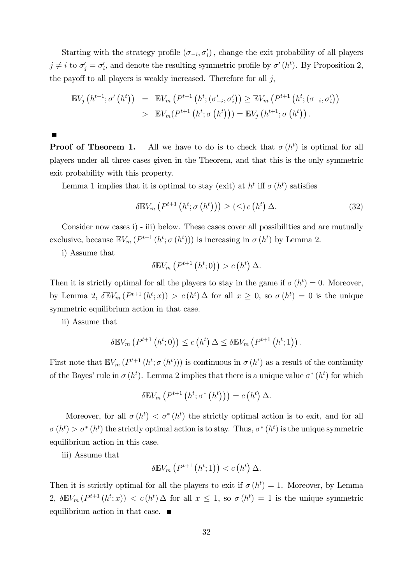Starting with the strategy profile  $(\sigma_{-i}, \sigma'_i)$ , change the exit probability of all players  $j \neq i$  to  $\sigma'_j = \sigma'_i$ , and denote the resulting symmetric profile by  $\sigma'(h^t)$ . By Proposition 2, the payoff to all players is weakly increased. Therefore for all  $j$ ,

$$
\mathbb{E}V_{j}(h^{t+1};\sigma'(h^{t})) = \mathbb{E}V_{m}(P^{t+1}(h^{t};(\sigma'_{-i},\sigma'_{i})) \geq \mathbb{E}V_{m}(P^{t+1}(h^{t};(\sigma_{-i},\sigma'_{i})) > \mathbb{E}V_{m}(P^{t+1}(h^{t};\sigma(h^{t}))) = \mathbb{E}V_{j}(h^{t+1};\sigma(h^{t})).
$$

**Proof of Theorem 1.** All we have to do is to check that  $\sigma(h^t)$  is optimal for all players under all three cases given in the Theorem, and that this is the only symmetric exit probability with this property.

Lemma 1 implies that it is optimal to stay (exit) at  $h^t$  iff  $\sigma(h^t)$  satisfies

$$
\delta \mathbb{E} V_m \left( P^{t+1} \left( h^t; \sigma \left( h^t \right) \right) \right) \geq \left( \leq \right) c \left( h^t \right) \Delta. \tag{32}
$$

Consider now cases i) - iii) below. These cases cover all possibilities and are mutually exclusive, because  $\mathbb{E}V_m(P^{t+1}(h^t; \sigma(h^t)))$  is increasing in  $\sigma(h^t)$  by Lemma 2.

i) Assume that

$$
\delta \mathbb{E} V_m\left(P^{t+1}\left(h^t;0\right)\right) > c\left(h^t\right)\Delta.
$$

Then it is strictly optimal for all the players to stay in the game if  $\sigma(h^t) = 0$ . Moreover, by Lemma 2,  $\delta \mathbb{E} V_m(P^{t+1}(h^t; x)) > c(h^t) \Delta$  for all  $x \geq 0$ , so  $\sigma(h^t) = 0$  is the unique symmetric equilibrium action in that case.

ii) Assume that

$$
\delta \mathbb{E} V_m\left(P^{t+1}\left(h^t;0\right)\right) \leq c\left(h^t\right)\Delta \leq \delta \mathbb{E} V_m\left(P^{t+1}\left(h^t;1\right)\right).
$$

First note that  $\mathbb{E}V_m(P^{t+1}(h^t; \sigma(h^t)))$  is continuous in  $\sigma(h^t)$  as a result of the continuity of the Bayes' rule in  $\sigma(h^t)$ . Lemma 2 implies that there is a unique value  $\sigma^*(h^t)$  for which

$$
\delta \mathbb{E} V_m\left(P^{t+1}\left(h^t; \sigma^*\left(h^t\right)\right)\right) = c\left(h^t\right) \Delta.
$$

Moreover, for all  $\sigma(h^t) < \sigma^*(h^t)$  the strictly optimal action is to exit, and for all  $\sigma(h^t) > \sigma^*(h^t)$  the strictly optimal action is to stay. Thus,  $\sigma^*(h^t)$  is the unique symmetric equilibrium action in this case.

iii) Assume that

$$
\delta \mathbb{E} V_m\left(P^{t+1}\left(h^t;1\right)\right) < c\left(h^t\right)\Delta.
$$

Then it is strictly optimal for all the players to exit if  $\sigma(h^t) = 1$ . Moreover, by Lemma 2,  $\delta \mathbb{E} V_m(P^{t+1}(h^t; x)) < c(h^t) \Delta$  for all  $x \leq 1$ , so  $\sigma(h^t) = 1$  is the unique symmetric equilibrium action in that case.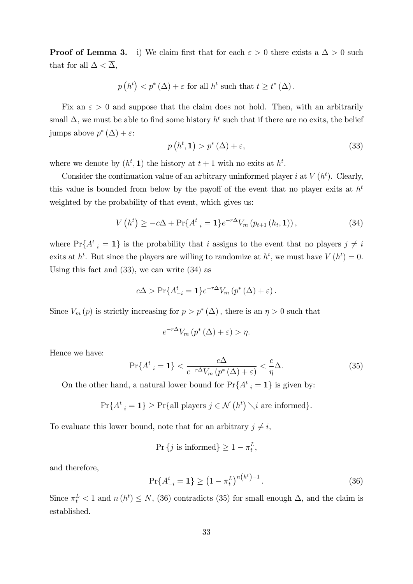**Proof of Lemma 3.** i) We claim first that for each  $\varepsilon > 0$  there exists a  $\overline{\Delta} > 0$  such that for all  $\Delta < \overline{\Delta}$ ,

$$
p(h^t) < p^*(\Delta) + \varepsilon
$$
 for all  $h^t$  such that  $t \ge t^*(\Delta)$ .

Fix an  $\varepsilon > 0$  and suppose that the claim does not hold. Then, with an arbitrarily small  $\Delta$ , we must be able to find some history  $h^t$  such that if there are no exits, the belief jumps above  $p^*(\Delta) + \varepsilon$ :

$$
p(h^t, 1) > p^*(\Delta) + \varepsilon,\tag{33}
$$

where we denote by  $(h^t, 1)$  the history at  $t + 1$  with no exits at  $h^t$ .

Consider the continuation value of an arbitrary uninformed player *i* at  $V(h<sup>t</sup>)$ . Clearly, this value is bounded from below by the payoff of the event that no player exits at  $h<sup>t</sup>$ weighted by the probability of that event, which gives us:

$$
V(h^{t}) \geq -c\Delta + \Pr\{A_{-i}^{t} = 1\} e^{-r\Delta} V_{m}(p_{t+1}(h_{t}, 1)), \qquad (34)
$$

where  $Pr{A_{-i}^t = 1}$  is the probability that i assigns to the event that no players  $j \neq i$ exits at  $h^t$ . But since the players are willing to randomize at  $h^t$ , we must have  $V(h^t) = 0$ . Using this fact and (33), we can write (34) as

$$
c\Delta > \Pr\{A_{-i}^t = 1\}e^{-r\Delta}V_m(p^*(\Delta) + \varepsilon).
$$

Since  $V_m(p)$  is strictly increasing for  $p > p^*(\Delta)$ , there is an  $\eta > 0$  such that

$$
e^{-r\Delta}V_m(p^*(\Delta)+\varepsilon) > \eta.
$$

Hence we have:

$$
\Pr\{A_{-i}^t = 1\} < \frac{c\Delta}{e^{-r\Delta}V_m\left(p^*\left(\Delta\right) + \varepsilon\right)} < \frac{c}{\eta}\Delta. \tag{35}
$$

On the other hand, a natural lower bound for  $Pr{A^t_{-i} = 1}$  is given by:

$$
\Pr\{A_{-i}^t = 1\} \ge \Pr\{\text{all players } j \in \mathcal{N}\left(h^t\right) \setminus i \text{ are informed}\}.
$$

To evaluate this lower bound, note that for an arbitrary  $j \neq i$ ,

$$
\Pr\{j \text{ is informed}\} \ge 1 - \pi_t^L,
$$

and therefore,

$$
\Pr\{A_{-i}^t = 1\} \ge \left(1 - \pi_t^L\right)^{n\left(h^t\right) - 1}.\tag{36}
$$

Since  $\pi_t^L < 1$  and  $n(h^t) \leq N$ , (36) contradicts (35) for small enough  $\Delta$ , and the claim is established.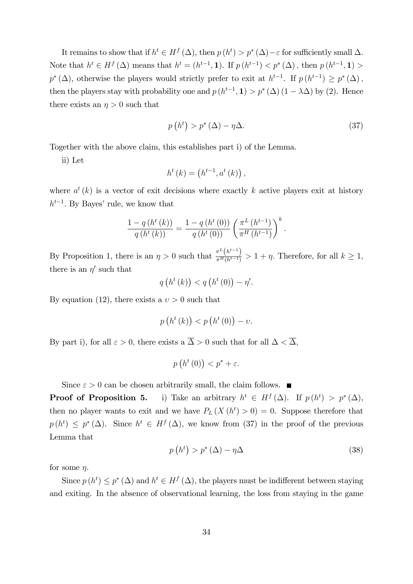It remains to show that if  $h^t \in H^f(\Delta)$ , then  $p(h^t) > p^*(\Delta) - \varepsilon$  for sufficiently small  $\Delta$ . Note that  $h^t \in H^f(\Delta)$  means that  $h^t = (h^{t-1}, 1)$ . If  $p(h^{t-1}) < p^*(\Delta)$ , then  $p(h^{t-1}, 1) >$  $p^*(\Delta)$ , otherwise the players would strictly prefer to exit at  $h^{t-1}$ . If  $p(h^{t-1}) \geq p^*(\Delta)$ , then the players stay with probability one and  $p(h^{t-1}, 1) > p^*(\Delta) (1 - \lambda \Delta)$  by (2). Hence there exists an  $\eta > 0$  such that

$$
p(ht) > p^*(\Delta) - \eta \Delta.
$$
 (37)

Together with the above claim, this establishes part i) of the Lemma.

ii) Let

$$
h^{t}(k) = (h^{t-1}, a^{t}(k)),
$$

where  $a^t(k)$  is a vector of exit decisions where exactly k active players exit at history  $h^{t-1}$ . By Bayes' rule, we know that

$$
\frac{1-q(h^{t}(k))}{q(h^{t}(k))} = \frac{1-q(h^{t}(0))}{q(h^{t}(0))} \left(\frac{\pi^{L}(h^{t-1})}{\pi^{H}(h^{t-1})}\right)^{k}.
$$

By Proposition 1, there is an  $\eta > 0$  such that  $\frac{\pi^L(h^{t-1})}{\pi^H(h^{t-1})} > 1 + \eta$ . Therefore, for all  $k \ge 1$ , there is an  $\eta'$  such that

$$
q\left(h^{t}\left(k\right)\right) < q\left(h^{t}\left(0\right)\right) - \eta'.
$$

By equation (12), there exists a  $v > 0$  such that

$$
p\left(h^{t}\left(k\right)\right) < p\left(h^{t}\left(0\right)\right) - \nu.
$$

By part i), for all  $\varepsilon > 0$ , there exists a  $\overline{\Delta} > 0$  such that for all  $\Delta < \overline{\Delta}$ ,

$$
p\left(h^t\left(0\right)\right) < p^* + \varepsilon.
$$

Since  $\varepsilon > 0$  can be chosen arbitrarily small, the claim follows.  $\blacksquare$ 

**Proof of Proposition 5.** i) Take an arbitrary  $h^t \in H^f(\Delta)$ . If  $p(h^t) > p^*(\Delta)$ , then no player wants to exit and we have  $P_L(X(h^t) > 0) = 0$ . Suppose therefore that  $p(h^t) \leq p^*(\Delta)$ . Since  $h^t \in H^f(\Delta)$ , we know from (37) in the proof of the previous Lemma that

$$
p(ht) > p^*(\Delta) - \eta \Delta
$$
 (38)

for some  $\eta$ .

Since  $p(h^t) \leq p^*(\Delta)$  and  $h^t \in H^f(\Delta)$ , the players must be indifferent between staying and exiting. In the absence of observational learning, the loss from staying in the game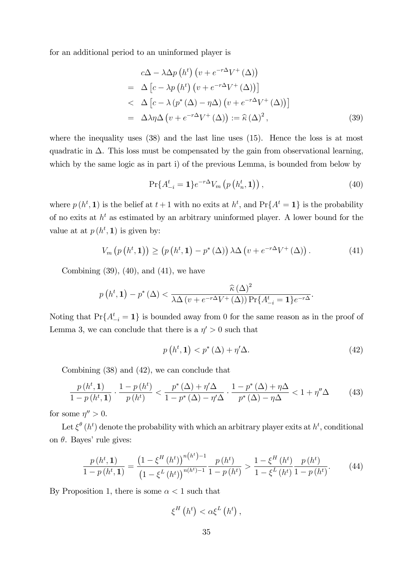for an additional period to an uninformed player is

$$
c\Delta - \lambda \Delta p \left( h^t \right) \left( v + e^{-r\Delta} V^+ \left( \Delta \right) \right)
$$
  
=  $\Delta \left[ c - \lambda p \left( h^t \right) \left( v + e^{-r\Delta} V^+ \left( \Delta \right) \right) \right]$   
<  $\Delta \left[ c - \lambda \left( p^* \left( \Delta \right) - \eta \Delta \right) \left( v + e^{-r\Delta} V^+ \left( \Delta \right) \right) \right]$   
=  $\Delta \lambda \eta \Delta \left( v + e^{-r\Delta} V^+ \left( \Delta \right) \right) := \hat{\kappa} \left( \Delta \right)^2,$  (39)

where the inequality uses  $(38)$  and the last line uses  $(15)$ . Hence the loss is at most quadratic in  $\Delta$ . This loss must be compensated by the gain from observational learning, which by the same logic as in part i) of the previous Lemma, is bounded from below by

$$
\Pr\{A_{-i}^{t} = 1\} e^{-r\Delta} V_m\left(p\left(h_n^{t}, 1\right)\right),\tag{40}
$$

where  $p(h^t, 1)$  is the belief at  $t+1$  with no exits at  $h^t$ , and  $Pr{A^t = 1}$  is the probability of no exits at  $h^t$  as estimated by an arbitrary uninformed player. A lower bound for the value at at  $p(h^t, 1)$  is given by:

$$
V_m\left(p\left(h^t,1\right)\right) \ge \left(p\left(h^t,1\right)-p^*\left(\Delta\right)\right)\lambda\Delta\left(v+e^{-r\Delta}V^+\left(\Delta\right)\right). \tag{41}
$$

Combining  $(39)$ ,  $(40)$ , and  $(41)$ , we have

$$
p(h^{t}, \mathbf{1}) - p^{*}(\Delta) < \frac{\widehat{\kappa}(\Delta)^{2}}{\lambda \Delta \left(v + e^{-r\Delta}V^{+}(\Delta)\right) \Pr\{A^{t}_{-i} = \mathbf{1}\} e^{-r\Delta}}.
$$

Noting that  $Pr{A_{-i}^t = 1}$  is bounded away from 0 for the same reason as in the proof of Lemma 3, we can conclude that there is a  $\eta' > 0$  such that

$$
p(h^t, 1) < p^*(\Delta) + \eta' \Delta. \tag{42}
$$

Combining (38) and (42), we can conclude that

$$
\frac{p(h^t,1)}{1-p(h^t,1)} \cdot \frac{1-p(h^t)}{p(h^t)} < \frac{p^*(\Delta)+\eta'\Delta}{1-p^*(\Delta)-\eta'\Delta} \cdot \frac{1-p^*(\Delta)+\eta\Delta}{p^*(\Delta)-\eta\Delta} < 1+\eta''\Delta \tag{43}
$$

for some  $\eta'' > 0$ .

Let  $\xi^{\theta}(h^{t})$  denote the probability with which an arbitrary player exits at  $h^{t}$ , conditional on  $\theta$ . Bayes' rule gives:

$$
\frac{p(h^{t}, \mathbf{1})}{1 - p(h^{t}, \mathbf{1})} = \frac{\left(1 - \xi^{H}(h^{t})\right)^{n(h^{t}) - 1}}{\left(1 - \xi^{L}(h^{t})\right)^{n(h^{t}) - 1}} \frac{p(h^{t})}{1 - p(h^{t})} > \frac{1 - \xi^{H}(h^{t})}{1 - \xi^{L}(h^{t})} \frac{p(h^{t})}{1 - p(h^{t})}.
$$
(44)

,

By Proposition 1, there is some  $\alpha < 1$  such that

$$
\xi ^{H}\left( h^{t}\right) <\alpha \xi ^{L}\left( h^{t}\right)
$$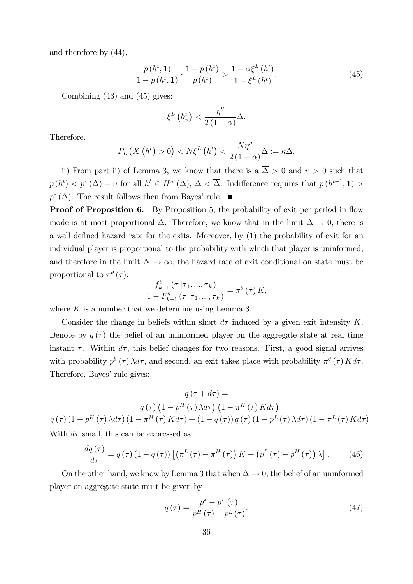and therefore by (44),

$$
\frac{p(h^{t}, 1)}{1 - p(h^{t}, 1)} \cdot \frac{1 - p(h^{t})}{p(h^{t})} > \frac{1 - \alpha \xi^{L}(h^{t})}{1 - \xi^{L}(h^{t})}.
$$
\n(45)

Combining (43) and (45) gives:

$$
\xi^L\left(h_n^t\right) < \frac{\eta''}{2\left(1-\alpha\right)}\Delta.
$$

Therefore,

$$
P_L\left(X\left(h^t\right)>0\right)< N\xi^L\left(h^t\right)<\frac{N\eta''}{2\left(1-\alpha\right)}\Delta:=\kappa\Delta.
$$

ii) From part ii) of Lemma 3, we know that there is a  $\overline{\Delta} > 0$  and  $v > 0$  such that  $p(h^t) < p^*(\Delta) - \nu$  for all  $h^t \in H^w(\Delta)$ ,  $\Delta < \overline{\Delta}$ . Indifference requires that  $p(h^{t+1}, 1) >$  $p^*(\Delta)$ . The result follows then from Bayes' rule.

**Proof of Proposition 6.** By Proposition 5, the probability of exit per period in flow mode is at most proportional  $\Delta$ . Therefore, we know that in the limit  $\Delta \to 0$ , there is a well defined hazard rate for the exits. Moreover, by (1) the probability of exit for an individual player is proportional to the probability with which that player is uninformed, and therefore in the limit  $N \to \infty$ , the hazard rate of exit conditional on state must be proportional to  $\pi^{\theta}(\tau)$ :

$$
\frac{f_{k+1}^{\theta}(\tau | \tau_1, ..., \tau_k)}{1 - F_{k+1}^{\theta}(\tau | \tau_1, ..., \tau_k)} = \pi^{\theta}(\tau) K,
$$

where  $K$  is a number that we determine using Lemma 3.

Consider the change in beliefs within short  $d\tau$  induced by a given exit intensity K. Denote by  $q(\tau)$  the belief of an uninformed player on the aggregate state at real time instant  $\tau$ . Within  $d\tau$ , this belief changes for two reasons. First, a good signal arrives with probability  $p^{\theta}(\tau) \lambda d\tau$ , and second, an exit takes place with probability  $\pi^{\theta}(\tau) K d\tau$ . Therefore, Bayes' rule gives:

$$
q\left(\tau + d\tau\right) =
$$
\n
$$
q\left(\tau\right)\left(1 - p^{H}\left(\tau\right)\lambda d\tau\right)\left(1 - \pi^{H}\left(\tau\right)Kd\tau\right)
$$
\n
$$
q\left(\tau\right)\left(1 - p^{H}\left(\tau\right)\lambda d\tau\right)\left(1 - \pi^{H}\left(\tau\right)Kd\tau\right) + \left(1 - q\left(\tau\right)\right)q\left(\tau\right)\left(1 - p^{L}\left(\tau\right)\lambda d\tau\right)\left(1 - \pi^{L}\left(\tau\right)Kd\tau\right)
$$
\nWith  $d\tau$  small this can be expressed as:

With  $d\tau$  small, this can be expressed as:

$$
\frac{dq\left(\tau\right)}{d\tau} = q\left(\tau\right)\left(1 - q\left(\tau\right)\right) \left[\left(\pi^L\left(\tau\right) - \pi^H\left(\tau\right)\right)K + \left(p^L\left(\tau\right) - p^H\left(\tau\right)\right)\lambda\right].\tag{46}
$$

On the other hand, we know by Lemma 3 that when  $\Delta \to 0$ , the belief of an uninformed player on aggregate state must be given by

$$
q\left(\tau\right) = \frac{p^* - p^L\left(\tau\right)}{p^H\left(\tau\right) - p^L\left(\tau\right)}.\tag{47}
$$

: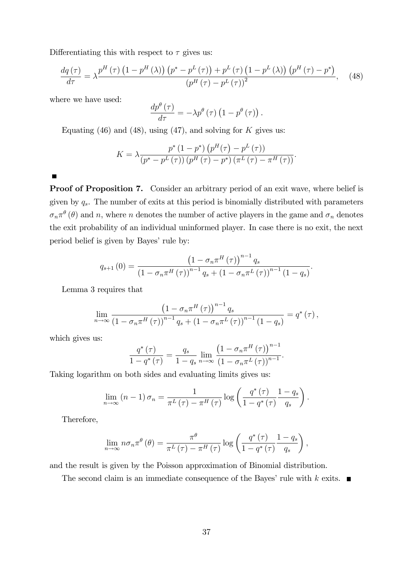Differentiating this with respect to  $\tau$  gives us:

$$
\frac{dq\left(\tau\right)}{d\tau} = \lambda \frac{p^{H}\left(\tau\right)\left(1 - p^{H}\left(\lambda\right)\right)\left(p^{*} - p^{L}\left(\tau\right)\right) + p^{L}\left(\tau\right)\left(1 - p^{L}\left(\lambda\right)\right)\left(p^{H}\left(\tau\right) - p^{*}\right)}{\left(p^{H}\left(\tau\right) - p^{L}\left(\tau\right)\right)^{2}},\tag{48}
$$

where we have used:

$$
\frac{dp^{\theta}(\tau)}{d\tau} = -\lambda p^{\theta}(\tau) \left(1 - p^{\theta}(\tau)\right).
$$

Equating (46) and (48), using (47), and solving for  $K$  gives us:

$$
K = \lambda \frac{p^* (1 - p^*) (p^H(\tau) - p^L(\tau))}{(p^* - p^L(\tau)) (p^H(\tau) - p^*) (\pi^L(\tau) - \pi^H(\tau))}.
$$

Proof of Proposition 7. Consider an arbitrary period of an exit wave, where belief is given by  $q_s$ . The number of exits at this period is binomially distributed with parameters  $\sigma_n \pi^{\theta}(\theta)$  and n, where n denotes the number of active players in the game and  $\sigma_n$  denotes the exit probability of an individual uninformed player. In case there is no exit, the next period belief is given by Bayes' rule by:

$$
q_{s+1}(0) = \frac{\left(1 - \sigma_n \pi^H(\tau)\right)^{n-1} q_s}{\left(1 - \sigma_n \pi^H(\tau)\right)^{n-1} q_s + \left(1 - \sigma_n \pi^L(\tau)\right)^{n-1} \left(1 - q_s\right)}.
$$

Lemma 3 requires that

$$
\lim_{n\to\infty}\frac{\left(1-\sigma_n\pi^H\left(\tau\right)\right)^{n-1}q_s}{\left(1-\sigma_n\pi^H\left(\tau\right)\right)^{n-1}q_s+\left(1-\sigma_n\pi^L\left(\tau\right)\right)^{n-1}\left(1-q_s\right)}=q^*\left(\tau\right),
$$

which gives us:

$$
\frac{q^{\ast}(\tau)}{1-q^{\ast}(\tau)}=\frac{q_s}{1-q_s}\lim_{n\to\infty}\frac{\left(1-\sigma_n\pi^H(\tau)\right)^{n-1}}{\left(1-\sigma_n\pi^L(\tau)\right)^{n-1}}.
$$

Taking logarithm on both sides and evaluating limits gives us:

$$
\lim_{n \to \infty} (n-1) \sigma_n = \frac{1}{\pi^L(\tau) - \pi^H(\tau)} \log \left( \frac{q^*(\tau)}{1 - q^*(\tau)} \frac{1 - q_s}{q_s} \right).
$$

Therefore,

$$
\lim_{n \to \infty} n \sigma_n \pi^{\theta}(\theta) = \frac{\pi^{\theta}}{\pi^L(\tau) - \pi^H(\tau)} \log \left( \frac{q^*(\tau)}{1 - q^*(\tau)} \frac{1 - q_s}{q_s} \right),
$$

and the result is given by the Poisson approximation of Binomial distribution.

The second claim is an immediate consequence of the Bayes' rule with k exits.  $\blacksquare$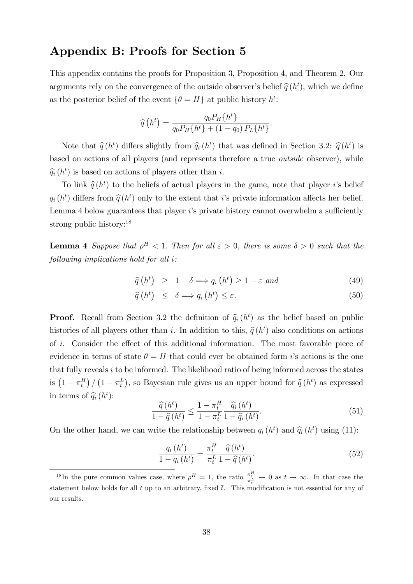### Appendix B: Proofs for Section 5

This appendix contains the proofs for Proposition 3, Proposition 4, and Theorem 2. Our arguments rely on the convergence of the outside observer's belief  $\hat{q}(h^t)$ , which we define as the posterior belief of the event  $\{\theta = H\}$  at public history  $h^t$ :

$$
\widehat{q}(h^{t}) = \frac{q_{0}P_{H}\{h^{t}\}}{q_{0}P_{H}\{h^{t}\} + (1 - q_{0})P_{L}\{h^{t}\}}.
$$

Note that  $\hat{q}(h^t)$  differs slightly from  $\hat{q}_i(h^t)$  that was defined in Section 3.2:  $\hat{q}(h^t)$  is based on actions of all players (and represents therefore a true outside observer), while  $\widehat{q}_i(h^t)$  is based on actions of players other than i.

To link  $\hat{q}(h^t)$  to the beliefs of actual players in the game, note that player *i*'s belief  $q_i(h^t)$  differs from  $\hat{q}(h^t)$  only to the extent that i's private information affects her belief. Lemma 4 below guarantees that player  $i$ 's private history cannot overwhelm a sufficiently strong public history:<sup>18</sup>

**Lemma 4** Suppose that  $\rho^H < 1$ . Then for all  $\varepsilon > 0$ , there is some  $\delta > 0$  such that the following implications hold for all i:

$$
\widehat{q}(h^t) \ge 1 - \delta \Longrightarrow q_i(h^t) \ge 1 - \varepsilon \text{ and } \tag{49}
$$

$$
\widehat{q}\left(h^{t}\right) \leq \delta \Longrightarrow q_{i}\left(h^{t}\right) \leq \varepsilon. \tag{50}
$$

**Proof.** Recall from Section 3.2 the definition of  $\hat{q}_i(h^t)$  as the belief based on public histories of all players other than *i*. In addition to this,  $\hat{q}(h^t)$  also conditions on actions of i. Consider the effect of this additional information. The most favorable piece of evidence in terms of state  $\theta = H$  that could ever be obtained form *i*'s actions is the one that fully reveals  $i$  to be informed. The likelihood ratio of being informed across the states is  $(1 - \pi_t^H) / (1 - \pi_t^L)$ , so Bayesian rule gives us an upper bound for  $\hat{q}(h^t)$  as expressed in terms of  $\widehat{q}_i(h^t)$ :

$$
\frac{\widehat{q}(h^t)}{1-\widehat{q}(h^t)} \le \frac{1-\pi_t^H}{1-\pi_t^L} \frac{\widehat{q}_i(h^t)}{1-\widehat{q}_i(h^t)}.\tag{51}
$$

On the other hand, we can write the relationship between  $q_i(h^t)$  and  $\hat{q}_i(h^t)$  using (11):

$$
\frac{q_i\left(h^t\right)}{1-q_i\left(h^t\right)} = \frac{\pi_t^H}{\pi_t^L} \frac{\widehat{q}\left(h^t\right)}{1-\widehat{q}\left(h^t\right)}.\tag{52}
$$

<sup>&</sup>lt;sup>18</sup>In the pure common values case, where  $\rho^H = 1$ , the ratio  $\frac{\pi_t^H}{\pi_t^L} \to 0$  as  $t \to \infty$ . In that case the statement below holds for all t up to an arbitrary, fixed  $\overline{t}$ . This modification is not essential for any of our results.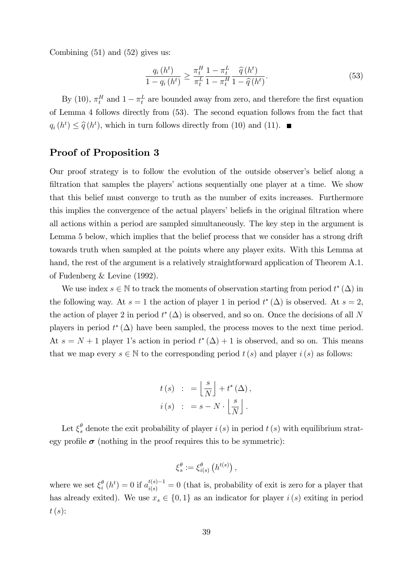Combining  $(51)$  and  $(52)$  gives us:

$$
\frac{q_i(h^t)}{1 - q_i(h^t)} \ge \frac{\pi_t^H}{\pi_t^L} \frac{1 - \pi_t^L}{1 - \pi_t^H} \frac{\widehat{q}(h^t)}{1 - \widehat{q}(h^t)}.
$$
\n(53)

By (10),  $\pi_t^H$  and  $1 - \pi_t^L$  are bounded away from zero, and therefore the first equation of Lemma 4 follows directly from (53). The second equation follows from the fact that  $q_i(h^t) \leq \hat{q}(h^t)$ , which in turn follows directly from (10) and (11).

### Proof of Proposition 3

Our proof strategy is to follow the evolution of the outside observer's belief along a filtration that samples the players' actions sequentially one player at a time. We show that this belief must converge to truth as the number of exits increases. Furthermore this implies the convergence of the actual players' beliefs in the original filtration where all actions within a period are sampled simultaneously. The key step in the argument is Lemma 5 below, which implies that the belief process that we consider has a strong drift towards truth when sampled at the points where any player exits. With this Lemma at hand, the rest of the argument is a relatively straightforward application of Theorem A.1. of Fudenberg & Levine (1992).

We use index  $s \in \mathbb{N}$  to track the moments of observation starting from period  $t^*(\Delta)$  in the following way. At  $s = 1$  the action of player 1 in period  $t^*(\Delta)$  is observed. At  $s = 2$ , the action of player 2 in period  $t^*(\Delta)$  is observed, and so on. Once the decisions of all N players in period  $t^*(\Delta)$  have been sampled, the process moves to the next time period. At  $s = N + 1$  player 1's action in period  $t^*(\Delta) + 1$  is observed, and so on. This means that we map every  $s \in \mathbb{N}$  to the corresponding period  $t(s)$  and player  $i(s)$  as follows:

$$
t(s) : = \left\lfloor \frac{s}{N} \right\rfloor + t^*(\Delta),
$$
  

$$
i(s) : = s - N \cdot \left\lfloor \frac{s}{N} \right\rfloor.
$$

Let  $\xi_s^{\theta}$  denote the exit probability of player  $i(s)$  in period  $t(s)$  with equilibrium strategy profile  $\sigma$  (nothing in the proof requires this to be symmetric):

$$
\xi_s^\theta := \xi_{i(s)}^\theta \left( h^{t(s)} \right),
$$

where we set  $\xi_i^{\theta}$  $\frac{\theta}{i}(h^t) = 0$  if  $a_{i(s)}^{t(s)-1} = 0$  (that is, probability of exit is zero for a player that has already exited). We use  $x_s \in \{0, 1\}$  as an indicator for player  $i(s)$  exiting in period  $t(s)$ :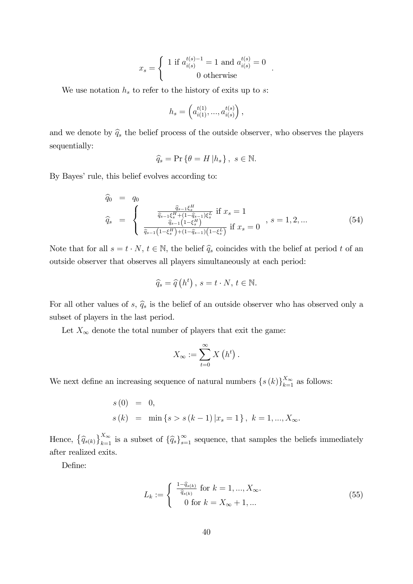$$
x_s = \begin{cases} 1 \text{ if } a_{i(s)}^{t(s)-1} = 1 \text{ and } a_{i(s)}^{t(s)} = 0\\ 0 \text{ otherwise} \end{cases}
$$

We use notation  $h_s$  to refer to the history of exits up to s:

$$
h_s = \left( a_{i(1)}^{t(1)}, \dots, a_{i(s)}^{t(s)} \right),
$$

and we denote by  $\hat{q}_s$  the belief process of the outside observer, who observes the players sequentially:

$$
\widehat{q}_s = \Pr\left\{\theta = H \, | h_s\right\}, \ s \in \mathbb{N}.
$$

By Bayes' rule, this belief evolves according to:

$$
\begin{array}{rcl}\n\widehat{q}_{0} & = & q_{0} \\
\widehat{q}_{s} & = & \begin{cases}\n\frac{\widehat{q}_{s-1}\xi_{s}^{H}}{\widehat{q}_{s-1}\xi_{s}^{H} + (1 - \widehat{q}_{s-1})\xi_{s}^{L}} & \text{if } x_{s} = 1 \\
\frac{\widehat{q}_{s-1}\xi_{s}^{H} + (1 - \widehat{q}_{s-1})\xi_{s}^{L}}{\widehat{q}_{s-1}\left(1 - \xi_{s}^{H}\right) + (1 - \widehat{q}_{s-1})\left(1 - \xi_{s}^{L}\right)} & \text{if } x_{s} = 0\n\end{cases}, s = 1, 2, \dots\n\end{array}\n\tag{54}
$$

:

Note that for all  $s = t \cdot N$ ,  $t \in \mathbb{N}$ , the belief  $\hat{q}_s$  coincides with the belief at period t of an outside observer that observes all players simultaneously at each period:

$$
\widehat{q}_s = \widehat{q}(h^t), \, s = t \cdot N, \, t \in \mathbb{N}.
$$

For all other values of s,  $\hat{q}_s$  is the belief of an outside observer who has observed only a subset of players in the last period.

Let  $X_\infty$  denote the total number of players that exit the game:

$$
X_{\infty} := \sum_{t=0}^{\infty} X\left(h^{t}\right).
$$

We next define an increasing sequence of natural numbers  $\{s(k)\}_{k=1}^{X_{\infty}}$  as follows:

$$
s(0) = 0,
$$
  
\n
$$
s(k) = \min \{ s > s(k-1) | x_s = 1 \}, k = 1, ..., X_{\infty}.
$$

Hence,  $\{\widehat{q}_{s(k)}\}_{k=1}^{X_{\infty}}$  is a subset of  $\{\widehat{q}_{s}\}_{s=1}^{\infty}$  sequence, that samples the beliefs immediately after realized exits.

Define:

$$
L_k := \begin{cases} \frac{1 - \widehat{q}_{s(k)}}{\widehat{q}_{s(k)}} \text{ for } k = 1, \dots, X_{\infty}.\\ 0 \text{ for } k = X_{\infty} + 1, \dots \end{cases}
$$
(55)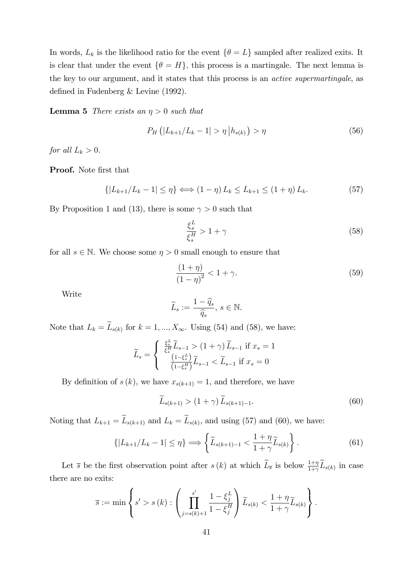In words,  $L_k$  is the likelihood ratio for the event  $\{\theta = L\}$  sampled after realized exits. It is clear that under the event  $\{\theta = H\}$ , this process is a martingale. The next lemma is the key to our argument, and it states that this process is an active supermartingale, as defined in Fudenberg  $&$  Levine (1992).

**Lemma 5** There exists an  $\eta > 0$  such that

$$
P_H\left(|L_{k+1}/L_k - 1| > \eta \, \big| h_{s(k)}\right) > \eta \tag{56}
$$

for all  $L_k > 0$ .

Proof. Note first that

$$
\{|L_{k+1}/L_k - 1| \le \eta\} \Longleftrightarrow (1 - \eta) L_k \le L_{k+1} \le (1 + \eta) L_k. \tag{57}
$$

By Proposition 1 and (13), there is some  $\gamma > 0$  such that

$$
\frac{\xi_s^L}{\xi_s^H} > 1 + \gamma \tag{58}
$$

for all  $s \in \mathbb{N}$ . We choose some  $\eta > 0$  small enough to ensure that

$$
\frac{(1+\eta)}{(1-\eta)^2} < 1+\gamma. \tag{59}
$$

Write

$$
\widetilde{L}_s := \frac{1 - \widehat{q}_s}{\widehat{q}_s}, \ s \in \mathbb{N}.
$$

Note that  $L_k = L_{s(k)}$  for  $k = 1, ..., X_{\infty}$ . Using (54) and (58), we have:

$$
\widetilde{L}_s = \begin{cases}\n\frac{\xi_s^L}{\xi_s^H} \widetilde{L}_{s-1} > (1+\gamma) \widetilde{L}_{s-1} \text{ if } x_s = 1 \\
\frac{(1-\xi_s^L)}{(1-\xi_s^H)} \widetilde{L}_{s-1} < \widetilde{L}_{s-1} \text{ if } x_s = 0\n\end{cases}
$$

By definition of  $s(k)$ , we have  $x_{s(k+1)} = 1$ , and therefore, we have

$$
\widetilde{L}_{s(k+1)} > \left(1+\gamma\right)\widetilde{L}_{s(k+1)-1}.\tag{60}
$$

Noting that  $L_{k+1} = L_{s(k+1)}$  and  $L_k = L_{s(k)}$ , and using (57) and (60), we have:

$$
\{|L_{k+1}/L_k - 1| \leq \eta\} \Longrightarrow \left\{\widetilde{L}_{s(k+1)-1} < \frac{1+\eta}{1+\gamma} \widetilde{L}_{s(k)}\right\}.\tag{61}
$$

Let  $\overline{s}$  be the first observation point after  $s(k)$  at which  $\widetilde{L}_{\overline{s}}$  is below  $\frac{1+\eta}{1+\gamma}\widetilde{L}_{s(k)}$  in case there are no exits:

$$
\overline{s} := \min \left\{ s' > s (k) : \left( \prod_{j=s(k)+1}^{s'} \frac{1 - \xi_j^L}{1 - \xi_j^H} \right) \widetilde{L}_{s(k)} < \frac{1 + \eta}{1 + \gamma} \widetilde{L}_{s(k)} \right\}.
$$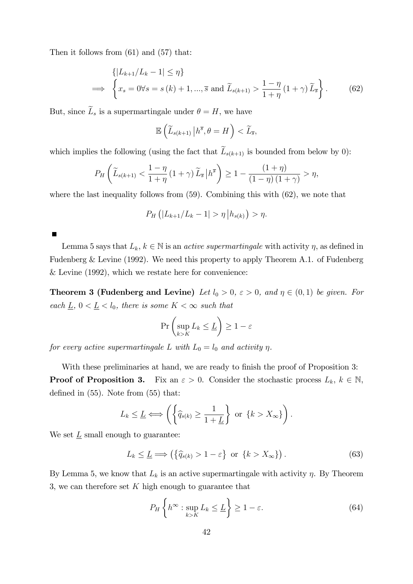Then it follows from (61) and (57) that:

$$
\{|L_{k+1}/L_k - 1| \leq \eta\}
$$
  
\n
$$
\implies \left\{x_s = 0 \forall s = s(k) + 1, ..., \overline{s} \text{ and } \widetilde{L}_{s(k+1)} > \frac{1 - \eta}{1 + \eta} (1 + \gamma) \widetilde{L}_{\overline{s}}\right\}.
$$
 (62)

But, since  $\widetilde{L}_s$  is a supermartingale under  $\theta = H$ , we have

$$
\mathbb{E}\left(\widetilde{L}_{s(k+1)}\left|h^{\overline{s}},\theta=H\right.\right)<\widetilde{L}_{\overline{s}},
$$

which implies the following (using the fact that  $\widetilde{L}_{s(k+1)}$  is bounded from below by 0):

$$
P_H\left(\widetilde{L}_{s(k+1)} < \frac{1-\eta}{1+\eta} \left(1+\gamma\right) \widetilde{L}_{\overline{s}} \left| h^{\overline{s}} \right) \ge 1 - \frac{\left(1+\eta\right)}{\left(1-\eta\right) \left(1+\gamma\right)} > \eta,
$$

where the last inequality follows from  $(59)$ . Combining this with  $(62)$ , we note that

$$
P_H(|L_{k+1}/L_k - 1| > \eta |h_{s(k)}) > \eta.
$$

Lemma 5 says that  $L_k, k \in \mathbb{N}$  is an *active supermartingale* with activity  $\eta$ , as defined in Fudenberg & Levine (1992). We need this property to apply Theorem A.1. of Fudenberg & Levine (1992), which we restate here for convenience:

**Theorem 3 (Fudenberg and Levine)** Let  $l_0 > 0$ ,  $\varepsilon > 0$ , and  $\eta \in (0,1)$  be given. For each  $\underline{L}$ ,  $0 < \underline{L} < l_0$ , there is some  $K < \infty$  such that

$$
\Pr\left(\sup_{k>K} L_k \leq \underline{L}\right) \geq 1-\varepsilon
$$

for every active supermartingale L with  $L_0 = l_0$  and activity  $\eta$ .

With these preliminaries at hand, we are ready to finish the proof of Proposition 3: **Proof of Proposition 3.** Fix an  $\varepsilon > 0$ . Consider the stochastic process  $L_k$ ,  $k \in \mathbb{N}$ , defined in  $(55)$ . Note from  $(55)$  that:

$$
L_k \leq \underline{L} \Longleftrightarrow \left( \left\{ \widehat{q}_{s(k)} \geq \frac{1}{1+\underline{L}} \right\} \text{ or } \left\{ k > X_{\infty} \right\} \right).
$$

We set  $\underline{L}$  small enough to guarantee:

$$
L_k \leq \underline{L} \Longrightarrow \left( \left\{ \widehat{q}_{s(k)} > 1 - \varepsilon \right\} \text{ or } \left\{ k > X_{\infty} \right\} \right). \tag{63}
$$

By Lemma 5, we know that  $L_k$  is an active supermartingale with activity  $\eta$ . By Theorem 3, we can therefore set  $K$  high enough to guarantee that

$$
P_H\left\{h^{\infty} : \sup_{k>K} L_k \le \underline{L}\right\} \ge 1 - \varepsilon. \tag{64}
$$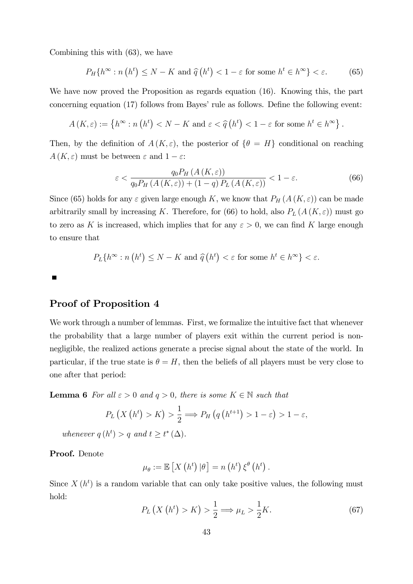Combining this with (63), we have

$$
P_H\{h^{\infty} : n(h^t) \le N - K \text{ and } \hat{q}(h^t) < 1 - \varepsilon \text{ for some } h^t \in h^{\infty}\} < \varepsilon. \tag{65}
$$

We have now proved the Proposition as regards equation (16). Knowing this, the part concerning equation  $(17)$  follows from Bayes' rule as follows. Define the following event:

$$
A(K,\varepsilon) := \left\{ h^{\infty} : n\left(h^{t}\right) < N - K \text{ and } \varepsilon < \widehat{q}\left(h^{t}\right) < 1 - \varepsilon \text{ for some } h^{t} \in h^{\infty} \right\}.
$$

Then, by the definition of  $A(K,\varepsilon)$ , the posterior of  $\{\theta = H\}$  conditional on reaching  $A(K,\varepsilon)$  must be between  $\varepsilon$  and  $1-\varepsilon$ :

$$
\varepsilon < \frac{q_0 P_H\left(A\left(K,\varepsilon\right)\right)}{q_0 P_H\left(A\left(K,\varepsilon\right)\right) + \left(1-q\right) P_L\left(A\left(K,\varepsilon\right)\right)} < 1 - \varepsilon. \tag{66}
$$

Since (65) holds for any  $\varepsilon$  given large enough K, we know that  $P_H(A(K,\varepsilon))$  can be made arbitrarily small by increasing K. Therefore, for (66) to hold, also  $P_L(A(K,\varepsilon))$  must go to zero as K is increased, which implies that for any  $\varepsilon > 0$ , we can find K large enough to ensure that

$$
P_L\{h^{\infty} : n(h^t) \le N - K \text{ and } \widehat{q}(h^t) < \varepsilon \text{ for some } h^t \in h^{\infty}\} < \varepsilon.
$$

### Proof of Proposition 4

We work through a number of lemmas. First, we formalize the intuitive fact that whenever the probability that a large number of players exit within the current period is nonnegligible, the realized actions generate a precise signal about the state of the world. In particular, if the true state is  $\theta = H$ , then the beliefs of all players must be very close to one after that period:

**Lemma 6** For all  $\varepsilon > 0$  and  $q > 0$ , there is some  $K \in \mathbb{N}$  such that

$$
P_L\left(X\left(h^t\right) > K\right) > \frac{1}{2} \Longrightarrow P_H\left(q\left(h^{t+1}\right) > 1 - \varepsilon\right) > 1 - \varepsilon,
$$

whenever  $q(h^t) > q$  and  $t \geq t^*(\Delta)$ .

Proof. Denote

$$
\mu_{\theta} := \mathbb{E}\left[X\left(h^{t}\right)|\theta\right] = n\left(h^{t}\right)\xi^{\theta}\left(h^{t}\right).
$$

Since  $X(h^t)$  is a random variable that can only take positive values, the following must hold:

$$
P_L\left(X\left(h^t\right) > K\right) > \frac{1}{2} \Longrightarrow \mu_L > \frac{1}{2}K. \tag{67}
$$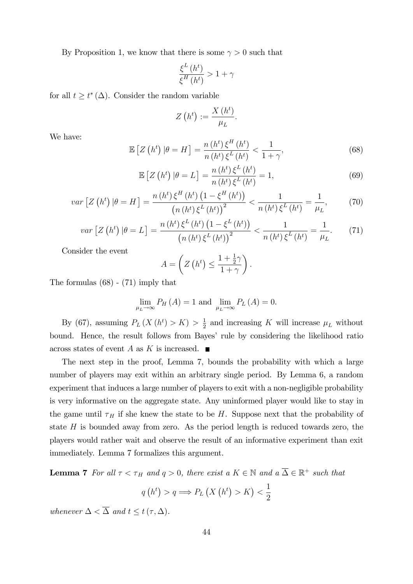By Proposition 1, we know that there is some  $\gamma > 0$  such that

$$
\frac{\xi^L\left(h^t\right)}{\xi^H\left(h^t\right)} > 1 + \gamma
$$

for all  $t \geq t^*(\Delta)$ . Consider the random variable

$$
Z\left(h^t\right) := \frac{X\left(h^t\right)}{\mu_L}.
$$

We have:

$$
\mathbb{E}\left[Z\left(h^{t}\right)|\theta=H\right]=\frac{n\left(h^{t}\right)\xi^{H}\left(h^{t}\right)}{n\left(h^{t}\right)\xi^{L}\left(h^{t}\right)}<\frac{1}{1+\gamma},\tag{68}
$$

$$
\mathbb{E}\left[Z\left(h^{t}\right)|\theta=L\right] = \frac{n\left(h^{t}\right)\xi^{L}\left(h^{t}\right)}{n\left(h^{t}\right)\xi^{L}\left(h^{t}\right)} = 1,\tag{69}
$$

$$
var\left[Z\left(h^{t}\right)|\theta=H\right]=\frac{n\left(h^{t}\right)\xi^{H}\left(h^{t}\right)\left(1-\xi^{H}\left(h^{t}\right)\right)}{\left(n\left(h^{t}\right)\xi^{L}\left(h^{t}\right)\right)^{2}}<\frac{1}{n\left(h^{t}\right)\xi^{L}\left(h^{t}\right)}=\frac{1}{\mu_{L}},\tag{70}
$$

$$
var\left[Z\left(h^{t}\right)|\theta=L\right] = \frac{n\left(h^{t}\right)\xi^{L}\left(h^{t}\right)\left(1-\xi^{L}\left(h^{t}\right)\right)}{\left(n\left(h^{t}\right)\xi^{L}\left(h^{t}\right)\right)^{2}} < \frac{1}{n\left(h^{t}\right)\xi^{L}\left(h^{t}\right)} = \frac{1}{\mu_{L}}.\tag{71}
$$

Consider the event

$$
A = \left(Z\left(h^t\right) \le \frac{1 + \frac{1}{2}\gamma}{1 + \gamma}\right).
$$

The formulas (68) - (71) imply that

$$
\lim_{\mu_L \to \infty} P_H(A) = 1 \text{ and } \lim_{\mu_L \to \infty} P_L(A) = 0.
$$

By (67), assuming  $P_L(X(h^t) > K) > \frac{1}{2}$  $\frac{1}{2}$  and increasing K will increase  $\mu_L$  without bound. Hence, the result follows from Bayes' rule by considering the likelihood ratio across states of event A as K is increased.  $\blacksquare$ 

The next step in the proof, Lemma 7, bounds the probability with which a large number of players may exit within an arbitrary single period. By Lemma 6, a random experiment that induces a large number of players to exit with a non-negligible probability is very informative on the aggregate state. Any uninformed player would like to stay in the game until  $\tau_H$  if she knew the state to be H. Suppose next that the probability of state  $H$  is bounded away from zero. As the period length is reduced towards zero, the players would rather wait and observe the result of an informative experiment than exit immediately. Lemma 7 formalizes this argument.

**Lemma 7** For all  $\tau < \tau_H$  and  $q > 0$ , there exist a  $K \in \mathbb{N}$  and  $a \overline{\Delta} \in \mathbb{R}^+$  such that

$$
q(h^t) > q \Longrightarrow P_L(X(h^t) > K) < \frac{1}{2}
$$

whenever  $\Delta < \overline{\Delta}$  and  $t \leq t(\tau, \Delta)$ .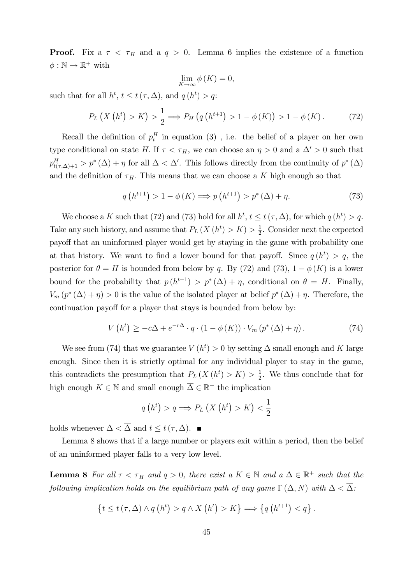**Proof.** Fix a  $\tau < \tau_H$  and a  $q > 0$ . Lemma 6 implies the existence of a function  $\phi : \mathbb{N} \to \mathbb{R}^+$  with

$$
\lim_{K \to \infty} \phi(K) = 0,
$$

such that for all  $h^t$ ,  $t \le t(\tau, \Delta)$ , and  $q(h^t) > q$ :

$$
P_L(X(h^t) > K) > \frac{1}{2} \Longrightarrow P_H(q(h^{t+1}) > 1 - \phi(K)) > 1 - \phi(K). \tag{72}
$$

Recall the definition of  $p_t^H$  in equation (3), i.e. the belief of a player on her own type conditional on state H. If  $\tau < \tau_H$ , we can choose an  $\eta > 0$  and a  $\Delta' > 0$  such that  $p_{t(\tau,\Delta)+1}^H > p^*(\Delta) + \eta$  for all  $\Delta < \Delta'$ . This follows directly from the continuity of  $p^*(\Delta)$ and the definition of  $\tau_H$ . This means that we can choose a K high enough so that

$$
q\left(h^{t+1}\right) > 1 - \phi\left(K\right) \Longrightarrow p\left(h^{t+1}\right) > p^*\left(\Delta\right) + \eta. \tag{73}
$$

We choose a K such that (72) and (73) hold for all  $h^t$ ,  $t \le t(\tau, \Delta)$ , for which  $q(h^t) > q$ . Take any such history, and assume that  $P_L(X(h^t) > K) > \frac{1}{2}$  $\frac{1}{2}$ . Consider next the expected payoff that an uninformed player would get by staying in the game with probability one at that history. We want to find a lower bound for that payoff. Since  $q(h^t) > q$ , the posterior for  $\theta = H$  is bounded from below by q. By (72) and (73),  $1 - \phi(K)$  is a lower bound for the probability that  $p(h^{t+1}) > p^*(\Delta) + \eta$ , conditional on  $\theta = H$ . Finally,  $V_m(p^*(\Delta) + \eta) > 0$  is the value of the isolated player at belief  $p^*(\Delta) + \eta$ . Therefore, the continuation payoff for a player that stays is bounded from below by:

$$
V(h^{t}) \geq -c\Delta + e^{-r\Delta} \cdot q \cdot (1 - \phi(K)) \cdot V_{m}(p^{*}(\Delta) + \eta). \tag{74}
$$

We see from (74) that we guarantee  $V(h^t) > 0$  by setting  $\Delta$  small enough and K large enough. Since then it is strictly optimal for any individual player to stay in the game, this contradicts the presumption that  $P_L(X(h^t) > K) > \frac{1}{2}$  $\frac{1}{2}$ . We thus conclude that for high enough  $K \in \mathbb{N}$  and small enough  $\overline{\Delta} \in \mathbb{R}^+$  the implication

$$
q(h^{t}) > q \Longrightarrow P_{L}(X(h^{t}) > K) < \frac{1}{2}
$$

holds whenever  $\Delta < \overline{\Delta}$  and  $t \leq t(\tau, \Delta)$ .

Lemma 8 shows that if a large number or players exit within a period, then the belief of an uninformed player falls to a very low level.

**Lemma 8** For all  $\tau < \tau_H$  and  $q > 0$ , there exist a  $K \in \mathbb{N}$  and  $a \overline{\Delta} \in \mathbb{R}^+$  such that the following implication holds on the equilibrium path of any game  $\Gamma(\Delta, N)$  with  $\Delta < \overline{\Delta}$ :

$$
\left\{t\leq t\left(\tau,\Delta\right)\wedge q\left(h^{t}\right)>q\wedge X\left(h^{t}\right)>K\right\}\Longrightarrow\left\{q\left(h^{t+1}\right)
$$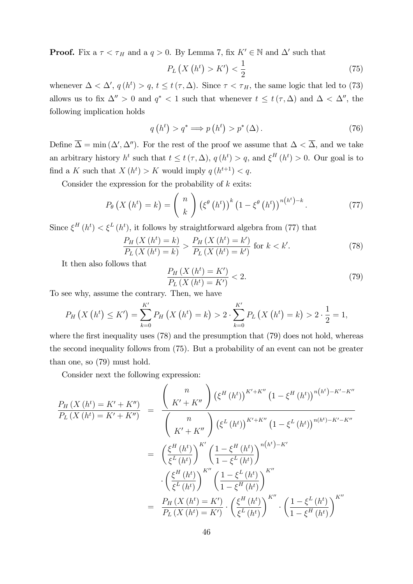**Proof.** Fix a  $\tau < \tau_H$  and a  $q > 0$ . By Lemma 7, fix  $K' \in \mathbb{N}$  and  $\Delta'$  such that

$$
P_L\left(X\left(h^t\right) > K'\right) < \frac{1}{2} \tag{75}
$$

whenever  $\Delta < \Delta'$ ,  $q(h^t) > q$ ,  $t \le t(\tau, \Delta)$ . Since  $\tau < \tau_H$ , the same logic that led to (73) allows us to fix  $\Delta'' > 0$  and  $q^* < 1$  such that whenever  $t \leq t(\tau, \Delta)$  and  $\Delta < \Delta''$ , the following implication holds

$$
q(ht) > q^* \Longrightarrow p(ht) > p^*(\Delta).
$$
 (76)

Define  $\Delta = \min(\Delta', \Delta'')$ . For the rest of the proof we assume that  $\Delta < \Delta$ , and we take an arbitrary history  $h^t$  such that  $t \leq t(\tau, \Delta)$ ,  $q(h^t) > q$ , and  $\xi^H(h^t) > 0$ . Our goal is to find a K such that  $X(h^t) > K$  would imply  $q(h^{t+1}) < q$ .

Consider the expression for the probability of  $k$  exits:

$$
P_{\theta}\left(X\left(h^{t}\right)=k\right)=\binom{n}{k}\left(\xi^{\theta}\left(h^{t}\right)\right)^{k}\left(1-\xi^{\theta}\left(h^{t}\right)\right)^{n\left(h^{t}\right)-k}.\tag{77}
$$

Since  $\xi^H(h^t) < \xi^L(h^t)$ , it follows by straightforward algebra from (77) that

$$
\frac{P_H(X(h^t) = k)}{P_L(X(h^t) = k)} > \frac{P_H(X(h^t) = k')}{P_L(X(h^t) = k')} \text{ for } k < k'.\tag{78}
$$

It then also follows that

$$
\frac{P_H(X(h^t) = K')}{P_L(X(h^t) = K')} < 2. \tag{79}
$$

To see why, assume the contrary. Then, we have

$$
P_H(X(h^t) \le K') = \sum_{k=0}^{K'} P_H(X(h^t) = k) > 2 \cdot \sum_{k=0}^{K'} P_L(X(h^t) = k) > 2 \cdot \frac{1}{2} = 1,
$$

where the first inequality uses  $(78)$  and the presumption that  $(79)$  does not hold, whereas the second inequality follows from (75). But a probability of an event can not be greater than one, so (79) must hold.

Consider next the following expression:

$$
\frac{P_H(X(h^t) = K' + K'')}{P_L(X(h^t) = K' + K'')} = \frac{\binom{n}{K' + K''} (\xi^H(h^t))^{K' + K''} (1 - \xi^H(h^t))^{n(h^t) - K' - K''}}{\binom{n}{K' + K''} (\xi^L(h^t))^{K' + K''} (1 - \xi^L(h^t))^{n(h^t) - K' - K''}}
$$
\n
$$
= \frac{\left(\xi^H(h^t)\right)^{K'}}{\xi^L(h^t)} \left(\frac{1 - \xi^H(h^t)}{1 - \xi^L(h^t)}\right)^{n(h^t) - K'}
$$
\n
$$
\cdot \left(\frac{\xi^H(h^t)}{\xi^L(h^t)}\right)^{K''} \left(\frac{1 - \xi^L(h^t)}{1 - \xi^H(h^t)}\right)^{K''}
$$
\n
$$
= \frac{P_H(X(h^t) = K')}{P_L(X(h^t) = K')} \cdot \left(\frac{\xi^H(h^t)}{\xi^L(h^t)}\right)^{K''} \cdot \left(\frac{1 - \xi^L(h^t)}{1 - \xi^H(h^t)}\right)^{K''}
$$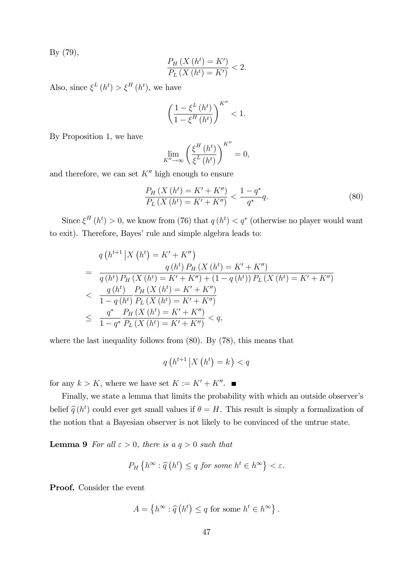By (79),

$$
\frac{P_H(X(h^t) = K')}{P_L(X(h^t) = K')} < 2.
$$

Also, since  $\xi^L(h^t) > \xi^H(h^t)$ , we have

$$
\left(\frac{1-\xi^L\left(h^t\right)}{1-\xi^H\left(h^t\right)}\right)^{K''}<1.
$$

By Proposition 1, we have

$$
\lim_{K'' \to \infty} \left( \frac{\xi^H(h^t)}{\xi^L(h^t)} \right)^{K''} = 0,
$$

and therefore, we can set  $K''$  high enough to ensure

$$
\frac{P_H\left(X\left(h^t\right) = K' + K''\right)}{P_L\left(X\left(h^t\right) = K' + K''\right)} < \frac{1 - q^*}{q^*}q.\tag{80}
$$

Since  $\xi^H(h^t) > 0$ , we know from (76) that  $q(h^t) < q^*$  (otherwise no player would want to exit). Therefore, Bayes' rule and simple algebra leads to:

$$
q\left(h^{t+1} \middle| X\left(h^{t}\right) = K' + K''\right)
$$
\n
$$
= \frac{q\left(h^{t}\right)P_{H}\left(X\left(h^{t}\right) = K' + K''\right)}{q\left(h^{t}\right)P_{H}\left(X\left(h^{t}\right) = K' + K''\right) + \left(1 - q\left(h^{t}\right)\right)P_{L}\left(X\left(h^{t}\right) = K' + K''\right)}
$$
\n
$$
< \frac{q\left(h^{t}\right)}{1 - q\left(h^{t}\right)}\frac{P_{H}\left(X\left(h^{t}\right) = K' + K''\right)}{P_{L}\left(X\left(h^{t}\right) = K' + K''\right)}
$$
\n
$$
\leq \frac{q^{*}}{1 - q^{*}}\frac{P_{H}\left(X\left(h^{t}\right) = K' + K''\right)}{P_{L}\left(X\left(h^{t}\right) = K' + K''\right)} < q,
$$

where the last inequality follows from (80). By (78), this means that

$$
q\left(h^{t+1}\left|X\left(h^{t}\right)=k\right.\right) < q
$$

for any  $k > K$ , where we have set  $K := K' + K''$ .

Finally, we state a lemma that limits the probability with which an outside observer's belief  $\hat{q}(h^t)$  could ever get small values if  $\theta = H$ . This result is simply a formalization of the notion that a Bayesian observer is not likely to be convinced of the untrue state.

**Lemma 9** For all  $\varepsilon > 0$ , there is a  $q > 0$  such that

$$
P_H\left\{h^{\infty}:\widehat{q}\left(h^t\right)\leq q\ for\ some\ h^t\in h^{\infty}\right\}<\varepsilon.
$$

Proof. Consider the event

$$
A = \left\{ h^{\infty} : \widehat{q} \left( h^t \right) \le q \text{ for some } h^t \in h^{\infty} \right\}.
$$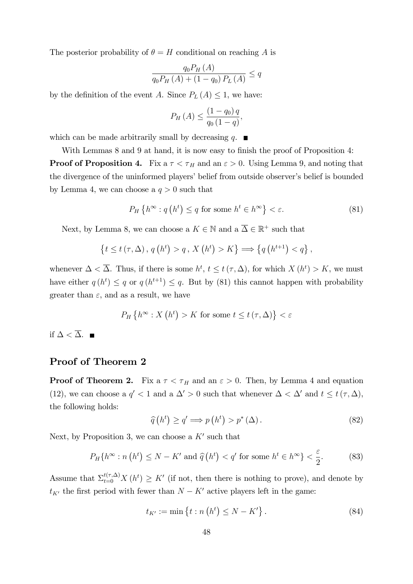The posterior probability of  $\theta = H$  conditional on reaching A is

$$
\frac{q_0 P_H(A)}{q_0 P_H(A) + (1 - q_0) P_L(A)} \le q
$$

by the definition of the event A. Since  $P_L(A) \leq 1$ , we have:

$$
P_H(A) \le \frac{(1 - q_0) q}{q_0 (1 - q)},
$$

which can be made arbitrarily small by decreasing q.  $\blacksquare$ 

With Lemmas  $8$  and  $9$  at hand, it is now easy to finish the proof of Proposition  $4$ : **Proof of Proposition 4.** Fix a  $\tau < \tau_H$  and an  $\varepsilon > 0$ . Using Lemma 9, and noting that the divergence of the uninformed players' belief from outside observer's belief is bounded by Lemma 4, we can choose a  $q > 0$  such that

$$
P_H\left\{h^\infty: q\left(h^t\right) \le q \text{ for some } h^t \in h^\infty\right\} < \varepsilon. \tag{81}
$$

Next, by Lemma 8, we can choose a  $K \in \mathbb{N}$  and  $a \overline{\Delta} \in \mathbb{R}^+$  such that

$$
\{t \le t\,(\tau,\Delta),\,q\left(h^{t}\right) > q\,,\,X\left(h^{t}\right) > K\} \Longrightarrow \{q\left(h^{t+1}\right) < q\},\,
$$

whenever  $\Delta < \overline{\Delta}$ . Thus, if there is some  $h^t$ ,  $t \le t(\tau, \Delta)$ , for which  $X(h^t) > K$ , we must have either  $q(h^t) \leq q$  or  $q(h^{t+1}) \leq q$ . But by (81) this cannot happen with probability greater than  $\varepsilon$ , and as a result, we have

$$
P_H\left\{h^{\infty}: X\left(h^t\right) > K \text{ for some } t \le t\left(\tau, \Delta\right)\right\} < \varepsilon
$$

if  $\Delta < \overline{\Delta}$ . ■

#### Proof of Theorem 2

**Proof of Theorem 2.** Fix a  $\tau < \tau_H$  and an  $\varepsilon > 0$ . Then, by Lemma 4 and equation (12), we can choose a  $q' < 1$  and a  $\Delta' > 0$  such that whenever  $\Delta < \Delta'$  and  $t \leq t(\tau, \Delta)$ , the following holds:

$$
\widehat{q}(h^t) \ge q' \Longrightarrow p(h^t) > p^*(\Delta). \tag{82}
$$

Next, by Proposition 3, we can choose a  $K'$  such that

$$
P_H\{h^{\infty} : n(h^t) \le N - K' \text{ and } \hat{q}(h^t) < q' \text{ for some } h^t \in h^{\infty}\} < \frac{\varepsilon}{2}.\tag{83}
$$

Assume that  $\sum_{t=0}^{t(\tau,\Delta)} X(h^t) \geq K'$  (if not, then there is nothing to prove), and denote by  $t_{K'}$  the first period with fewer than  $N - K'$  active players left in the game:

$$
t_{K'} := \min\left\{ t : n\left(h^t\right) \le N - K' \right\}.
$$
\n(84)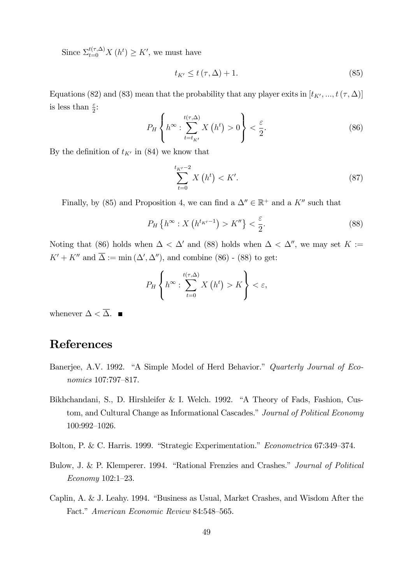Since  $\sum_{t=0}^{t(\tau,\Delta)} X(h^t) \geq K'$ , we must have

$$
t_{K'} \le t\left(\tau,\Delta\right) + 1.\tag{85}
$$

Equations (82) and (83) mean that the probability that any player exits in  $[t_{K'}, ..., t(\tau, \Delta)]$ is less than  $\frac{\varepsilon}{2}$ :

$$
P_H\left\{h^{\infty}:\sum_{t=t_{K'}}^{t(\tau,\Delta)}X\left(h^t\right)>0\right\}<\frac{\varepsilon}{2}.\tag{86}
$$

By the definition of  $t_{K'}$  in (84) we know that

$$
\sum_{t=0}^{t_{K'}-2} X\left(h^{t}\right) < K'.\tag{87}
$$

Finally, by (85) and Proposition 4, we can find a  $\Delta'' \in \mathbb{R}^+$  and a  $K''$  such that

$$
P_H\left\{h^{\infty}: X\left(h^{t_{K'}-1}\right) > K''\right\} < \frac{\varepsilon}{2}.
$$
\n
$$
(88)
$$

Noting that (86) holds when  $\Delta < \Delta'$  and (88) holds when  $\Delta < \Delta''$ , we may set  $K :=$  $K' + K''$  and  $\Delta := \min(\Delta', \Delta'')$ , and combine (86) - (88) to get:

$$
P_H\left\{h^{\infty}:\sum_{t=0}^{t(\tau,\Delta)}X\left(h^t\right)>K\right\}<\varepsilon,
$$

whenever  $\Delta < \overline{\Delta}$ .

# References

- Banerjee, A.V. 1992. "A Simple Model of Herd Behavior." Quarterly Journal of Economics 107:797-817.
- Bikhchandani, S., D. Hirshleifer & I. Welch. 1992. "A Theory of Fads, Fashion, Custom, and Cultural Change as Informational Cascades." Journal of Political Economy  $100:992-1026.$
- Bolton, P. & C. Harris. 1999. "Strategic Experimentation." Econometrica 67:349-374.
- Bulow, J. & P. Klemperer. 1994. "Rational Frenzies and Crashes." Journal of Political  $Economy$  102:1-23.
- Caplin, A.  $\&$  J. Leahy. 1994. "Business as Usual, Market Crashes, and Wisdom After the Fact." American Economic Review 84:548–565.